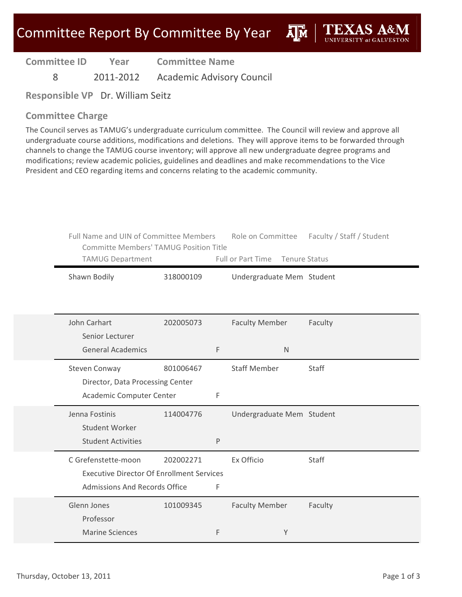**AIM** 

**Committee ID**

**Year Committee Name**

8 2011‐2012 Academic Advisory Council

**Responsible VP** Dr. William Seitz

#### **Committee Charge**

The Council serves as TAMUG's undergraduate curriculum committee. The Council will review and approve all undergraduate course additions, modifications and deletions. They will approve items to be forwarded through channels to change the TAMUG course inventory; will approve all new undergraduate degree programs and modifications; review academic policies, guidelines and deadlines and make recommendations to the Vice President and CEO regarding items and concerns relating to the academic community.

| Full Name and UIN of Committee Members<br><b>Committe Members' TAMUG Position Title</b><br>TAMUG Department     |           | Role on Committee<br>Full or Part Time<br><b>Tenure Status</b> |                           | Faculty / Staff / Student |  |
|-----------------------------------------------------------------------------------------------------------------|-----------|----------------------------------------------------------------|---------------------------|---------------------------|--|
| Shawn Bodily                                                                                                    | 318000109 |                                                                | Undergraduate Mem Student |                           |  |
| John Carhart<br>Senior Lecturer                                                                                 | 202005073 |                                                                | <b>Faculty Member</b>     | Faculty                   |  |
| <b>General Academics</b>                                                                                        |           | F                                                              | $\mathsf{N}$              |                           |  |
| Steven Conway<br>Director, Data Processing Center                                                               | 801006467 |                                                                | <b>Staff Member</b>       | <b>Staff</b>              |  |
| Academic Computer Center                                                                                        |           | F                                                              |                           |                           |  |
| Jenna Fostinis<br>Student Worker                                                                                | 114004776 |                                                                | Undergraduate Mem Student |                           |  |
| <b>Student Activities</b>                                                                                       |           | P                                                              |                           |                           |  |
| C Grefenstette-moon<br><b>Executive Director Of Enrollment Services</b><br><b>Admissions And Records Office</b> | 202002271 | F                                                              | Ex Officio                | Staff                     |  |
|                                                                                                                 |           |                                                                |                           |                           |  |
| Glenn Jones<br>Professor                                                                                        | 101009345 |                                                                | <b>Faculty Member</b>     | Faculty                   |  |
| <b>Marine Sciences</b>                                                                                          |           | F                                                              | Y                         |                           |  |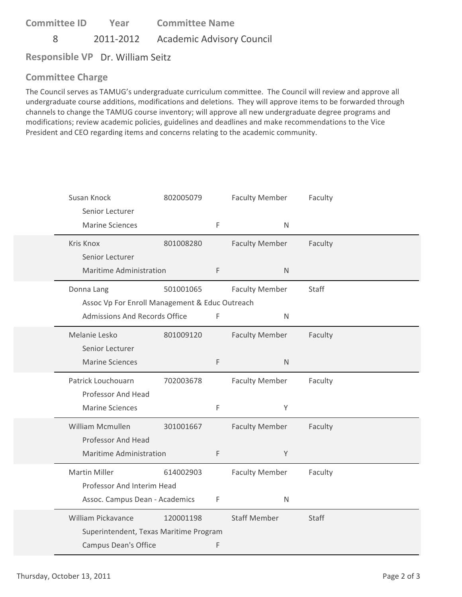8 2011‐2012 Academic Advisory Council

**Responsible VP** Dr. William Seitz

# **Committee Charge**

The Council serves as TAMUG's undergraduate curriculum committee. The Council will review and approve all undergraduate course additions, modifications and deletions. They will approve items to be forwarded through channels to change the TAMUG course inventory; will approve all new undergraduate degree programs and modifications; review academic policies, guidelines and deadlines and make recommendations to the Vice President and CEO regarding items and concerns relating to the academic community.

| Susan Knock<br>Senior Lecturer<br><b>Marine Sciences</b>     | 802005079 | $\mathsf F$ | <b>Faculty Member</b><br>$\mathsf{N}$ | Faculty |
|--------------------------------------------------------------|-----------|-------------|---------------------------------------|---------|
| Kris Knox<br>Senior Lecturer                                 | 801008280 |             | <b>Faculty Member</b>                 | Faculty |
| <b>Maritime Administration</b>                               |           | $\mathsf F$ | $\mathsf{N}$                          |         |
| Donna Lang<br>Assoc Vp For Enroll Management & Educ Outreach | 501001065 |             | <b>Faculty Member</b>                 | Staff   |
| Admissions And Records Office                                |           | $\mathsf F$ | $\mathsf{N}$                          |         |
| Melanie Lesko<br>Senior Lecturer                             | 801009120 |             | <b>Faculty Member</b>                 | Faculty |
| <b>Marine Sciences</b>                                       |           | $\mathsf F$ | $\mathsf N$                           |         |
| Patrick Louchouarn<br>Professor And Head                     | 702003678 |             | <b>Faculty Member</b>                 | Faculty |
| <b>Marine Sciences</b>                                       |           | $\mathsf F$ | Y                                     |         |
| <b>William Mcmullen</b><br>Professor And Head                | 301001667 |             | <b>Faculty Member</b>                 | Faculty |
| Maritime Administration                                      |           | $\mathsf F$ | Y                                     |         |
| <b>Martin Miller</b><br>Professor And Interim Head           | 614002903 |             | <b>Faculty Member</b>                 | Faculty |
| Assoc. Campus Dean - Academics                               |           | F           | $\mathsf{N}$                          |         |
| William Pickavance                                           | 120001198 |             | <b>Staff Member</b>                   | Staff   |
| Superintendent, Texas Maritime Program                       |           |             |                                       |         |
| <b>Campus Dean's Office</b>                                  |           | F           |                                       |         |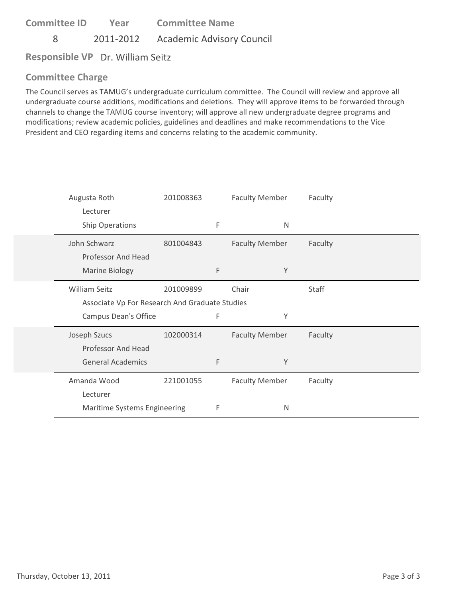8 2011‐2012 Academic Advisory Council

**Responsible VP** Dr. William Seitz

# **Committee Charge**

The Council serves as TAMUG's undergraduate curriculum committee. The Council will review and approve all undergraduate course additions, modifications and deletions. They will approve items to be forwarded through channels to change the TAMUG course inventory; will approve all new undergraduate degree programs and modifications; review academic policies, guidelines and deadlines and make recommendations to the Vice President and CEO regarding items and concerns relating to the academic community.

| Augusta Roth                                   | 201008363 |   | <b>Faculty Member</b> | Faculty |
|------------------------------------------------|-----------|---|-----------------------|---------|
| Lecturer                                       |           |   |                       |         |
| Ship Operations                                |           | F | $\mathsf{N}$          |         |
| John Schwarz                                   | 801004843 |   | <b>Faculty Member</b> | Faculty |
| Professor And Head                             |           |   |                       |         |
| <b>Marine Biology</b>                          |           | F | Y                     |         |
| <b>William Seitz</b>                           | 201009899 |   | Chair                 | Staff   |
| Associate Vp For Research And Graduate Studies |           |   |                       |         |
| Campus Dean's Office                           |           | F | Υ                     |         |
| Joseph Szucs                                   | 102000314 |   | <b>Faculty Member</b> | Faculty |
| Professor And Head                             |           |   |                       |         |
| <b>General Academics</b>                       |           | F | Y                     |         |
| Amanda Wood                                    | 221001055 |   | <b>Faculty Member</b> | Faculty |
| Lecturer                                       |           |   |                       |         |
| Maritime Systems Engineering                   |           | F | N                     |         |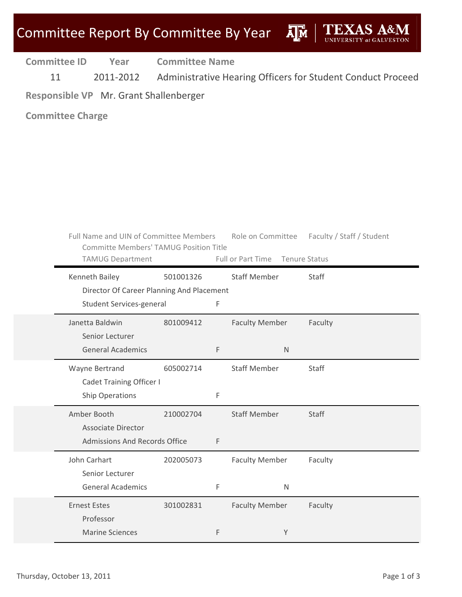ДM

**Committee ID Year Committee Name**

11 2011-2012 Administrative Hearing Officers for Student Conduct Proceed

# **Responsible VP** Mr. Grant Shallenberger

| Full Name and UIN of Committee Members<br><b>Committe Members' TAMUG Position Title</b><br><b>TAMUG Department</b> |           |   | Role on Committee<br>Full or Part Time | Faculty / Staff / Student<br><b>Tenure Status</b> |
|--------------------------------------------------------------------------------------------------------------------|-----------|---|----------------------------------------|---------------------------------------------------|
| Kenneth Bailey                                                                                                     | 501001326 |   | <b>Staff Member</b>                    | Staff                                             |
| Director Of Career Planning And Placement                                                                          |           |   |                                        |                                                   |
| <b>Student Services-general</b>                                                                                    |           | F |                                        |                                                   |
| Janetta Baldwin                                                                                                    | 801009412 |   | <b>Faculty Member</b>                  | Faculty                                           |
| Senior Lecturer                                                                                                    |           |   |                                        |                                                   |
| <b>General Academics</b>                                                                                           |           | F | $\mathsf{N}$                           |                                                   |
| Wayne Bertrand                                                                                                     | 605002714 |   | <b>Staff Member</b>                    | Staff                                             |
| <b>Cadet Training Officer I</b>                                                                                    |           |   |                                        |                                                   |
| <b>Ship Operations</b>                                                                                             |           | F |                                        |                                                   |
| Amber Booth                                                                                                        | 210002704 |   | <b>Staff Member</b>                    | <b>Staff</b>                                      |
| <b>Associate Director</b>                                                                                          |           |   |                                        |                                                   |
| <b>Admissions And Records Office</b>                                                                               |           | F |                                        |                                                   |
| John Carhart                                                                                                       | 202005073 |   | <b>Faculty Member</b>                  | Faculty                                           |
| Senior Lecturer                                                                                                    |           |   |                                        |                                                   |
| <b>General Academics</b>                                                                                           |           | F | N                                      |                                                   |
| <b>Ernest Estes</b>                                                                                                | 301002831 |   | <b>Faculty Member</b>                  | Faculty                                           |
| Professor                                                                                                          |           |   |                                        |                                                   |
| <b>Marine Sciences</b>                                                                                             |           | F | Y                                      |                                                   |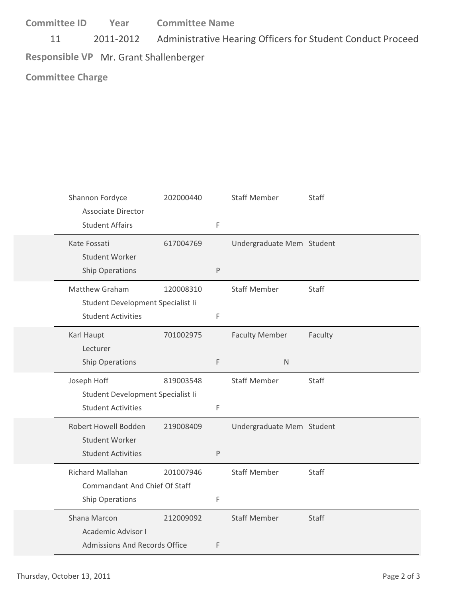11 2011-2012 Administrative Hearing Officers for Student Conduct Proceed **Responsible VP** Mr. Grant Shallenberger

| Shannon Fordyce<br><b>Associate Director</b>               | 202000440 |         | <b>Staff Member</b>       | Staff   |
|------------------------------------------------------------|-----------|---------|---------------------------|---------|
| <b>Student Affairs</b>                                     |           | F       |                           |         |
| Kate Fossati<br>Student Worker                             | 617004769 |         | Undergraduate Mem Student |         |
| Ship Operations                                            |           | $\sf P$ |                           |         |
| <b>Matthew Graham</b><br>Student Development Specialist Ii | 120008310 |         | <b>Staff Member</b>       | Staff   |
| <b>Student Activities</b>                                  |           | F       |                           |         |
| Karl Haupt<br>Lecturer                                     | 701002975 |         | <b>Faculty Member</b>     | Faculty |
| Ship Operations                                            |           | F       | $\mathsf{N}$              |         |
|                                                            |           |         |                           |         |
| Joseph Hoff                                                | 819003548 |         | <b>Staff Member</b>       | Staff   |
| Student Development Specialist Ii                          |           |         |                           |         |
| <b>Student Activities</b>                                  |           | F       |                           |         |
| Robert Howell Bodden                                       | 219008409 |         | Undergraduate Mem Student |         |
| Student Worker                                             |           |         |                           |         |
| <b>Student Activities</b>                                  |           | P       |                           |         |
| Richard Mallahan                                           | 201007946 |         | <b>Staff Member</b>       | Staff   |
| <b>Commandant And Chief Of Staff</b>                       |           |         |                           |         |
| Ship Operations                                            |           | F       |                           |         |
| Shana Marcon                                               | 212009092 |         | <b>Staff Member</b>       | Staff   |
| <b>Academic Advisor I</b>                                  |           |         |                           |         |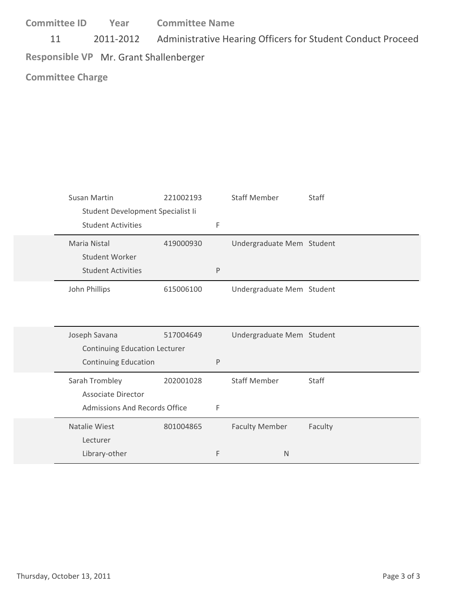11 2011-2012 Administrative Hearing Officers for Student Conduct Proceed **Responsible VP** Mr. Grant Shallenberger

| Susan Martin                         | 221002193 |           | <b>Staff Member</b>       | Staff   |
|--------------------------------------|-----------|-----------|---------------------------|---------|
| Student Development Specialist Ii    |           |           |                           |         |
| <b>Student Activities</b>            |           | F         |                           |         |
| Maria Nistal                         | 419000930 |           | Undergraduate Mem Student |         |
| Student Worker                       |           |           |                           |         |
| <b>Student Activities</b>            |           | ${\sf P}$ |                           |         |
| John Phillips                        | 615006100 |           | Undergraduate Mem Student |         |
|                                      |           |           |                           |         |
|                                      |           |           |                           |         |
|                                      |           |           |                           |         |
| Joseph Savana                        | 517004649 |           | Undergraduate Mem Student |         |
| <b>Continuing Education Lecturer</b> |           |           |                           |         |
| <b>Continuing Education</b>          |           | P         |                           |         |
| Sarah Trombley                       | 202001028 |           | <b>Staff Member</b>       | Staff   |
| <b>Associate Director</b>            |           |           |                           |         |
| <b>Admissions And Records Office</b> |           | F         |                           |         |
| Natalie Wiest                        | 801004865 |           | <b>Faculty Member</b>     | Faculty |
| Lecturer                             |           |           |                           |         |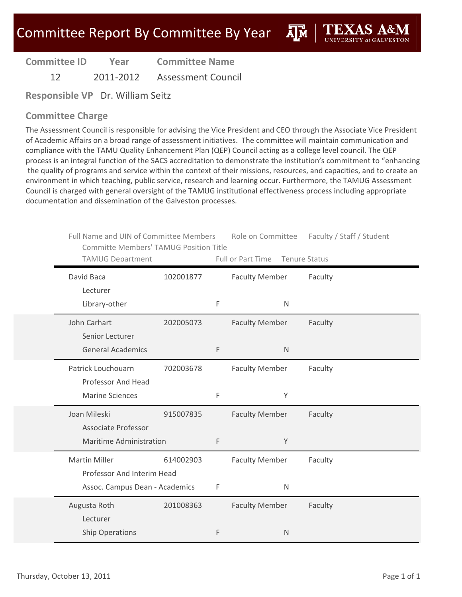**A**M

**Committee ID Year Committee Name**

12 2011‐2012 Assessment Council

**Responsible VP** Dr. William Seitz

### **Committee Charge**

The Assessment Council is responsible for advising the Vice President and CEO through the Associate Vice President of Academic Affairs on a broad range of assessment initiatives. The committee will maintain communication and compliance with the TAMU Quality Enhancement Plan (QEP) Council acting as a college level council. The QEP process is an integral function of the SACS accreditation to demonstrate the institution's commitment to "enhancing the quality of programs and service within the context of their missions, resources, and capacities, and to create an environment in which teaching, public service, research and learning occur. Furthermore, the TAMUG Assessment Council is charged with general oversight of the TAMUG institutional effectiveness process including appropriate documentation and dissemination of the Galveston processes.

| Full Name and UIN of Committee Members<br><b>Committe Members' TAMUG Position Title</b> |           |   | Role on Committee     | Faculty / Staff / Student |  |
|-----------------------------------------------------------------------------------------|-----------|---|-----------------------|---------------------------|--|
| <b>TAMUG Department</b>                                                                 |           |   | Full or Part Time     | <b>Tenure Status</b>      |  |
| David Baca                                                                              | 102001877 |   | <b>Faculty Member</b> | Faculty                   |  |
| Lecturer                                                                                |           |   |                       |                           |  |
| Library-other                                                                           |           | F | $\mathsf{N}$          |                           |  |
| John Carhart                                                                            | 202005073 |   | <b>Faculty Member</b> | Faculty                   |  |
| Senior Lecturer                                                                         |           |   |                       |                           |  |
| <b>General Academics</b>                                                                |           | F | $\mathsf{N}$          |                           |  |
| Patrick Louchouarn                                                                      | 702003678 |   | <b>Faculty Member</b> | Faculty                   |  |
| Professor And Head                                                                      |           |   |                       |                           |  |
| <b>Marine Sciences</b>                                                                  |           | F | Υ                     |                           |  |
| Joan Mileski                                                                            | 915007835 |   | <b>Faculty Member</b> | Faculty                   |  |
| <b>Associate Professor</b>                                                              |           |   |                       |                           |  |
| <b>Maritime Administration</b>                                                          |           | F | Y                     |                           |  |
| <b>Martin Miller</b>                                                                    | 614002903 |   | <b>Faculty Member</b> | Faculty                   |  |
| Professor And Interim Head                                                              |           |   |                       |                           |  |
| Assoc. Campus Dean - Academics                                                          |           | F | $\mathsf{N}$          |                           |  |
| Augusta Roth                                                                            | 201008363 |   | <b>Faculty Member</b> | Faculty                   |  |
| Lecturer                                                                                |           |   |                       |                           |  |
| <b>Ship Operations</b>                                                                  |           | F | $\mathsf{N}$          |                           |  |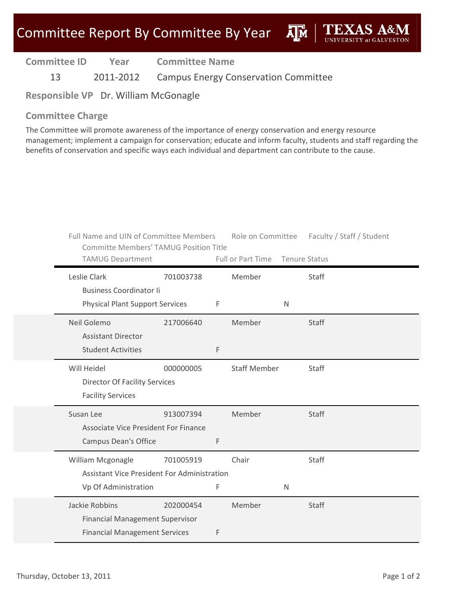ДÑ

| <b>Committee ID</b> | Year      | <b>Committee Name</b>                       |
|---------------------|-----------|---------------------------------------------|
| 13                  | 2011-2012 | <b>Campus Energy Conservation Committee</b> |

**Responsible VP** Dr. William McGonagle

#### **Committee Charge**

The Committee will promote awareness of the importance of energy conservation and energy resource management; implement a campaign for conservation; educate and inform faculty, students and staff regarding the benefits of conservation and specific ways each individual and department can contribute to the cause.

| Full Name and UIN of Committee Members<br><b>Committe Members' TAMUG Position Title</b> |           |             | Role on Committee               |   | Faculty / Staff / Student |
|-----------------------------------------------------------------------------------------|-----------|-------------|---------------------------------|---|---------------------------|
| <b>TAMUG Department</b>                                                                 |           |             | Full or Part Time Tenure Status |   |                           |
| Leslie Clark                                                                            | 701003738 |             | Member                          |   | Staff                     |
| <b>Business Coordinator li</b>                                                          |           |             |                                 |   |                           |
| <b>Physical Plant Support Services</b>                                                  |           | F           |                                 | N |                           |
| Neil Golemo                                                                             | 217006640 |             | Member                          |   | Staff                     |
| <b>Assistant Director</b>                                                               |           |             |                                 |   |                           |
| <b>Student Activities</b>                                                               |           | $\mathsf F$ |                                 |   |                           |
| Will Heidel                                                                             | 000000005 |             | <b>Staff Member</b>             |   | Staff                     |
| <b>Director Of Facility Services</b>                                                    |           |             |                                 |   |                           |
| <b>Facility Services</b>                                                                |           |             |                                 |   |                           |
| Susan Lee                                                                               | 913007394 |             | Member                          |   | Staff                     |
| Associate Vice President For Finance                                                    |           |             |                                 |   |                           |
| <b>Campus Dean's Office</b>                                                             |           | F           |                                 |   |                           |
| William Mcgonagle                                                                       | 701005919 |             | Chair                           |   | Staff                     |
| <b>Assistant Vice President For Administration</b>                                      |           |             |                                 |   |                           |
| Vp Of Administration                                                                    |           | F           |                                 | N |                           |
| Jackie Robbins                                                                          | 202000454 |             | Member                          |   | <b>Staff</b>              |
| <b>Financial Management Supervisor</b>                                                  |           |             |                                 |   |                           |
| <b>Financial Management Services</b>                                                    |           | F           |                                 |   |                           |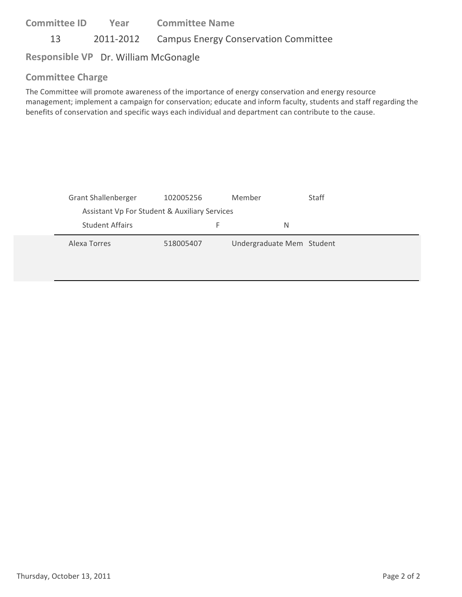**Committee ID** 13 2011-2012 Campus Energy Conservation Committee **Year Committee Name**

# **Responsible VP** Dr. William McGonagle

### **Committee Charge**

The Committee will promote awareness of the importance of energy conservation and energy resource management; implement a campaign for conservation; educate and inform faculty, students and staff regarding the benefits of conservation and specific ways each individual and department can contribute to the cause.

| <b>Grant Shallenberger</b>                    | 102005256 | Member                    | <b>Staff</b> |
|-----------------------------------------------|-----------|---------------------------|--------------|
| Assistant Vp For Student & Auxiliary Services |           |                           |              |
| <b>Student Affairs</b>                        | F.        | N                         |              |
| Alexa Torres                                  | 518005407 | Undergraduate Mem Student |              |
|                                               |           |                           |              |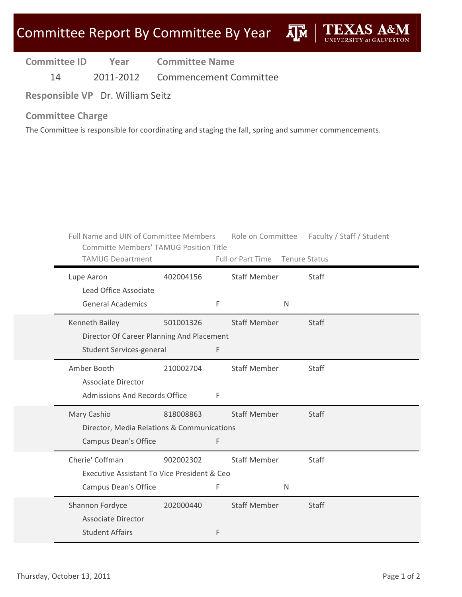| <b>Committee ID</b> |  | Year | <b>Committee Name</b> |  |
|---------------------|--|------|-----------------------|--|
|---------------------|--|------|-----------------------|--|

14 2011‐2012 Commencement Committee

**Responsible VP** Dr. William Seitz

### **Committee Charge**

The Committee is responsible for coordinating and staging the fall, spring and summer commencements.

|                        | Full Name and UIN of Committee Members<br><b>Committe Members' TAMUG Position Title</b> |           |   |                                 |              | Role on Committee Faculty / Staff / Student |
|------------------------|-----------------------------------------------------------------------------------------|-----------|---|---------------------------------|--------------|---------------------------------------------|
|                        | <b>TAMUG Department</b>                                                                 |           |   | Full or Part Time Tenure Status |              |                                             |
| Lupe Aaron             | Lead Office Associate                                                                   | 402004156 |   | <b>Staff Member</b>             |              | Staff                                       |
|                        | <b>General Academics</b>                                                                |           | F |                                 | $\mathsf{N}$ |                                             |
| Kenneth Bailey         |                                                                                         | 501001326 |   | <b>Staff Member</b>             |              | Staff                                       |
|                        | Director Of Career Planning And Placement                                               |           |   |                                 |              |                                             |
|                        | Student Services-general                                                                |           | F |                                 |              |                                             |
| Amber Booth            |                                                                                         | 210002704 |   | <b>Staff Member</b>             |              | Staff                                       |
|                        | <b>Associate Director</b>                                                               |           |   |                                 |              |                                             |
|                        | <b>Admissions And Records Office</b>                                                    |           | F |                                 |              |                                             |
| Mary Cashio            |                                                                                         | 818008863 |   | <b>Staff Member</b>             |              | Staff                                       |
|                        | Director, Media Relations & Communications                                              |           |   |                                 |              |                                             |
|                        | <b>Campus Dean's Office</b>                                                             |           | F |                                 |              |                                             |
| Cherie' Coffman        |                                                                                         | 902002302 |   | <b>Staff Member</b>             |              | Staff                                       |
|                        | Executive Assistant To Vice President & Ceo                                             |           |   |                                 |              |                                             |
|                        | Campus Dean's Office                                                                    |           | F |                                 | N            |                                             |
| Shannon Fordyce        |                                                                                         | 202000440 |   | <b>Staff Member</b>             |              | <b>Staff</b>                                |
|                        | <b>Associate Director</b>                                                               |           |   |                                 |              |                                             |
| <b>Student Affairs</b> |                                                                                         |           | F |                                 |              |                                             |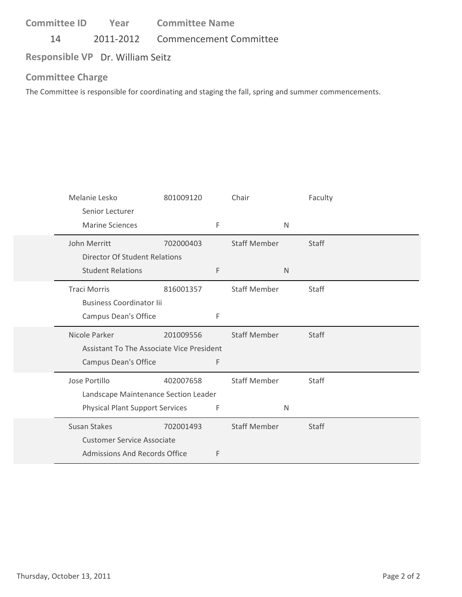14 2011‐2012 Commencement Committee

**Responsible VP** Dr. William Seitz

#### **Committee Charge**

The Committee is responsible for coordinating and staging the fall, spring and summer commencements.

| Melanie Lesko                             | 801009120 |   | Chair               |              | Faculty      |
|-------------------------------------------|-----------|---|---------------------|--------------|--------------|
| Senior Lecturer                           |           |   |                     |              |              |
| <b>Marine Sciences</b>                    |           | F |                     | $\mathsf{N}$ |              |
| John Merritt                              | 702000403 |   | <b>Staff Member</b> |              | Staff        |
| <b>Director Of Student Relations</b>      |           |   |                     |              |              |
| <b>Student Relations</b>                  |           | F |                     | N            |              |
| <b>Traci Morris</b>                       | 816001357 |   | <b>Staff Member</b> |              | Staff        |
| <b>Business Coordinator lii</b>           |           |   |                     |              |              |
| Campus Dean's Office                      |           | F |                     |              |              |
| Nicole Parker                             | 201009556 |   | <b>Staff Member</b> |              | <b>Staff</b> |
| Assistant To The Associate Vice President |           |   |                     |              |              |
| Campus Dean's Office                      |           | F |                     |              |              |
| Jose Portillo                             | 402007658 |   | <b>Staff Member</b> |              | Staff        |
| Landscape Maintenance Section Leader      |           |   |                     |              |              |
| <b>Physical Plant Support Services</b>    |           | F |                     | $\mathsf{N}$ |              |
| <b>Susan Stakes</b>                       | 702001493 |   | <b>Staff Member</b> |              | <b>Staff</b> |
| <b>Customer Service Associate</b>         |           |   |                     |              |              |
| Admissions And Records Office             |           | F |                     |              |              |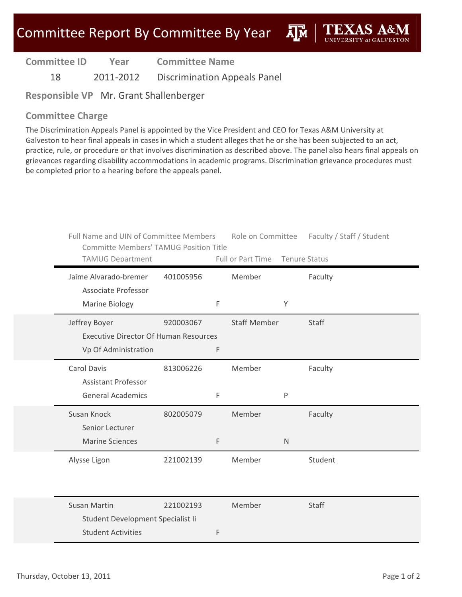**AIM** 

**Committee ID Year Committee Name**

18 2011‐2012 Discrimination Appeals Panel

**Responsible VP** Mr. Grant Shallenberger

#### **Committee Charge**

The Discrimination Appeals Panel is appointed by the Vice President and CEO for Texas A&M University at Galveston to hear final appeals in cases in which a student alleges that he or she has been subjected to an act, practice, rule, or procedure or that involves discrimination as described above. The panel also hears final appeals on grievances regarding disability accommodations in academic programs. Discrimination grievance procedures must be completed prior to a hearing before the appeals panel.

| Full Name and UIN of Committee Members<br><b>Committe Members' TAMUG Position Title</b> |           |   |                     |              | Role on Committee Faculty / Staff / Student |
|-----------------------------------------------------------------------------------------|-----------|---|---------------------|--------------|---------------------------------------------|
| <b>TAMUG Department</b>                                                                 |           |   | Full or Part Time   |              | <b>Tenure Status</b>                        |
| Jaime Alvarado-bremer<br>Associate Professor                                            | 401005956 |   | Member              |              | Faculty                                     |
| Marine Biology                                                                          |           | F |                     | Y            |                                             |
| Jeffrey Boyer                                                                           | 920003067 |   | <b>Staff Member</b> |              | <b>Staff</b>                                |
| <b>Executive Director Of Human Resources</b>                                            |           |   |                     |              |                                             |
| Vp Of Administration                                                                    |           | F |                     |              |                                             |
| <b>Carol Davis</b>                                                                      | 813006226 |   | Member              |              | Faculty                                     |
| <b>Assistant Professor</b>                                                              |           |   |                     |              |                                             |
| <b>General Academics</b>                                                                |           | F |                     | P            |                                             |
| Susan Knock                                                                             | 802005079 |   | Member              |              | Faculty                                     |
| Senior Lecturer                                                                         |           |   |                     |              |                                             |
| <b>Marine Sciences</b>                                                                  |           | F |                     | $\mathsf{N}$ |                                             |
| Alysse Ligon                                                                            | 221002139 |   | Member              |              | Student                                     |
|                                                                                         |           |   |                     |              |                                             |
|                                                                                         |           |   |                     |              |                                             |
| <b>Susan Martin</b>                                                                     | 221002193 |   | Member              |              | Staff                                       |
| Student Development Specialist Ii                                                       |           |   |                     |              |                                             |
| <b>Student Activities</b>                                                               |           | F |                     |              |                                             |
|                                                                                         |           |   |                     |              |                                             |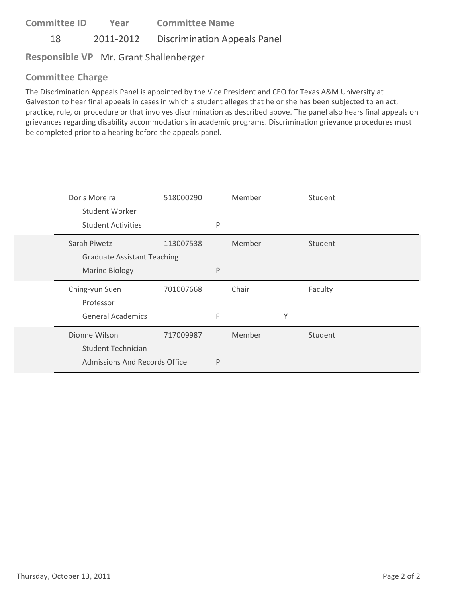**Committee ID** 18 2011-2012 Discrimination Appeals Panel **Year Committee Name**

# **Responsible VP** Mr. Grant Shallenberger

### **Committee Charge**

The Discrimination Appeals Panel is appointed by the Vice President and CEO for Texas A&M University at Galveston to hear final appeals in cases in which a student alleges that he or she has been subjected to an act, practice, rule, or procedure or that involves discrimination as described above. The panel also hears final appeals on grievances regarding disability accommodations in academic programs. Discrimination grievance procedures must be completed prior to a hearing before the appeals panel.

| Doris Moreira                      | 518000290 |   | Member |   | Student |  |
|------------------------------------|-----------|---|--------|---|---------|--|
| Student Worker                     |           |   |        |   |         |  |
| <b>Student Activities</b>          |           | P |        |   |         |  |
| Sarah Piwetz                       | 113007538 |   | Member |   | Student |  |
| <b>Graduate Assistant Teaching</b> |           |   |        |   |         |  |
| <b>Marine Biology</b>              |           | P |        |   |         |  |
|                                    |           |   |        |   |         |  |
| Ching-yun Suen                     | 701007668 |   | Chair  |   | Faculty |  |
| Professor                          |           |   |        |   |         |  |
| <b>General Academics</b>           |           | F |        | Υ |         |  |
| Dionne Wilson                      | 717009987 |   | Member |   | Student |  |
| <b>Student Technician</b>          |           |   |        |   |         |  |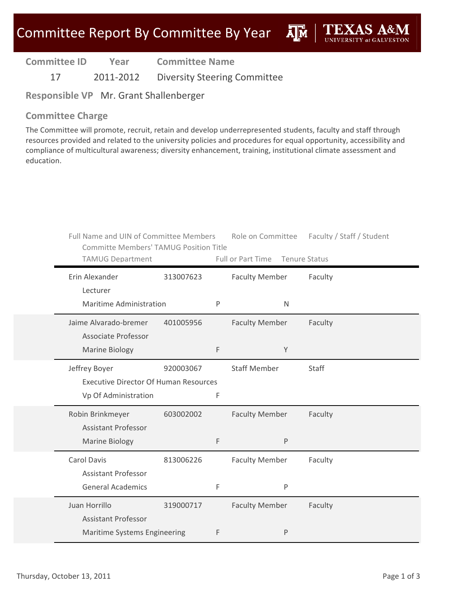**A**M

**Committee ID Year Committee Name**

17 2011-2012 Diversity Steering Committee

**Responsible VP** Mr. Grant Shallenberger

### **Committee Charge**

The Committee will promote, recruit, retain and develop underrepresented students, faculty and staff through resources provided and related to the university policies and procedures for equal opportunity, accessibility and compliance of multicultural awareness; diversity enhancement, training, institutional climate assessment and education.

| Full Name and UIN of Committee Members<br><b>Committe Members' TAMUG Position Title</b><br><b>TAMUG Department</b> |           |   | Full or Part Time                     | Role on Committee Faculty / Staff / Student<br>Tenure Status |
|--------------------------------------------------------------------------------------------------------------------|-----------|---|---------------------------------------|--------------------------------------------------------------|
| Erin Alexander<br>Lecturer<br><b>Maritime Administration</b>                                                       | 313007623 | P | <b>Faculty Member</b><br>$\mathsf{N}$ | Faculty                                                      |
| Jaime Alvarado-bremer<br><b>Associate Professor</b><br>Marine Biology                                              | 401005956 | F | <b>Faculty Member</b><br>Y            | Faculty                                                      |
| Jeffrey Boyer<br><b>Executive Director Of Human Resources</b><br>Vp Of Administration                              | 920003067 | F | <b>Staff Member</b>                   | Staff                                                        |
| Robin Brinkmeyer<br><b>Assistant Professor</b><br><b>Marine Biology</b>                                            | 603002002 | F | <b>Faculty Member</b><br>$\mathsf{P}$ | Faculty                                                      |
| Carol Davis<br><b>Assistant Professor</b><br><b>General Academics</b>                                              | 813006226 | F | <b>Faculty Member</b><br>$\sf P$      | Faculty                                                      |
| Juan Horrillo<br><b>Assistant Professor</b><br>Maritime Systems Engineering                                        | 319000717 | F | <b>Faculty Member</b><br>P            | Faculty                                                      |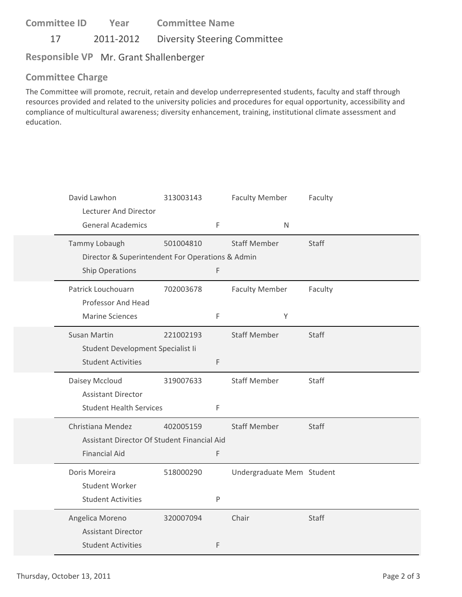**Committee ID** 17 2011-2012 Diversity Steering Committee **Year Committee Name**

## **Responsible VP** Mr. Grant Shallenberger

### **Committee Charge**

The Committee will promote, recruit, retain and develop underrepresented students, faculty and staff through resources provided and related to the university policies and procedures for equal opportunity, accessibility and compliance of multicultural awareness; diversity enhancement, training, institutional climate assessment and education.

| David Lawhon<br>Lecturer And Director<br><b>General Academics</b>                        | 313003143 | F         | <b>Faculty Member</b><br>$\mathsf{N}$ | Faculty      |
|------------------------------------------------------------------------------------------|-----------|-----------|---------------------------------------|--------------|
| Tammy Lobaugh<br>Director & Superintendent For Operations & Admin<br>Ship Operations     | 501004810 | F         | <b>Staff Member</b>                   | <b>Staff</b> |
| Patrick Louchouarn<br>Professor And Head<br><b>Marine Sciences</b>                       | 702003678 | F         | <b>Faculty Member</b><br>Υ            | Faculty      |
| <b>Susan Martin</b><br>Student Development Specialist Ii<br><b>Student Activities</b>    | 221002193 | F         | <b>Staff Member</b>                   | <b>Staff</b> |
| Daisey Mccloud<br><b>Assistant Director</b><br><b>Student Health Services</b>            | 319007633 | F         | <b>Staff Member</b>                   | Staff        |
| Christiana Mendez<br>Assistant Director Of Student Financial Aid<br><b>Financial Aid</b> | 402005159 | F         | <b>Staff Member</b>                   | Staff        |
| Doris Moreira<br><b>Student Worker</b><br><b>Student Activities</b>                      | 518000290 | ${\sf P}$ | Undergraduate Mem Student             |              |
| Angelica Moreno<br><b>Assistant Director</b><br><b>Student Activities</b>                | 320007094 | F         | Chair                                 | Staff        |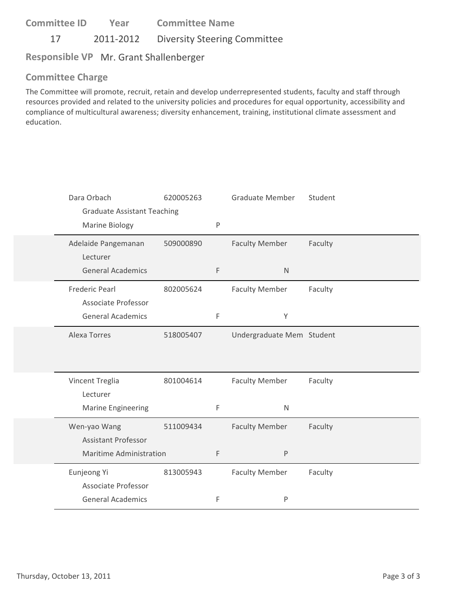**Committee ID** 17 2011-2012 Diversity Steering Committee **Year Committee Name**

### **Responsible VP** Mr. Grant Shallenberger

### **Committee Charge**

The Committee will promote, recruit, retain and develop underrepresented students, faculty and staff through resources provided and related to the university policies and procedures for equal opportunity, accessibility and compliance of multicultural awareness; diversity enhancement, training, institutional climate assessment and education.

| Dara Orbach<br><b>Graduate Assistant Teaching</b>      | 620005263 |              | <b>Graduate Member</b>    | Student |
|--------------------------------------------------------|-----------|--------------|---------------------------|---------|
| Marine Biology                                         |           | $\mathsf{P}$ |                           |         |
| Adelaide Pangemanan<br>Lecturer                        | 509000890 |              | <b>Faculty Member</b>     | Faculty |
| <b>General Academics</b>                               |           | $\mathsf F$  | $\mathsf{N}$              |         |
| <b>Frederic Pearl</b>                                  | 802005624 |              | <b>Faculty Member</b>     | Faculty |
| <b>Associate Professor</b><br><b>General Academics</b> |           | F            | Υ                         |         |
| <b>Alexa Torres</b>                                    | 518005407 |              | Undergraduate Mem Student |         |
|                                                        |           |              |                           |         |
| Vincent Treglia                                        | 801004614 |              | <b>Faculty Member</b>     | Faculty |
| Lecturer                                               |           |              |                           |         |
| <b>Marine Engineering</b>                              |           | F            | $\mathsf{N}$              |         |
| Wen-yao Wang                                           | 511009434 |              | <b>Faculty Member</b>     | Faculty |
| <b>Assistant Professor</b>                             |           |              |                           |         |
| <b>Maritime Administration</b>                         |           | F            | P                         |         |
| Eunjeong Yi                                            | 813005943 |              | <b>Faculty Member</b>     | Faculty |
| Associate Professor                                    |           |              |                           |         |
| <b>General Academics</b>                               |           | $\mathsf F$  | P                         |         |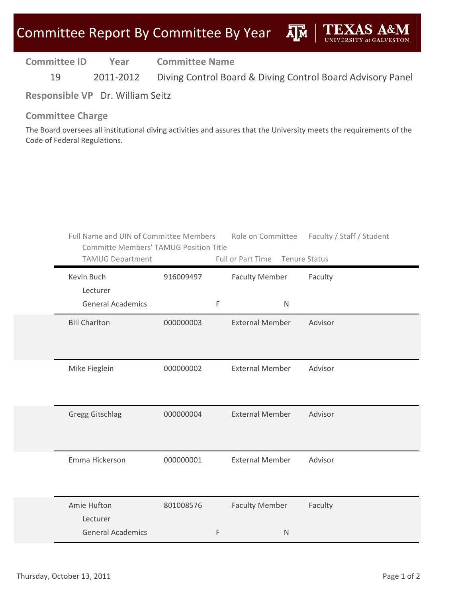ДÑ

**Committee ID Year Committee Name**

19 2011-2012 Diving Control Board & Diving Control Board Advisory Panel

**Responsible VP** Dr. William Seitz

#### **Committee Charge**

The Board oversees all institutional diving activities and assures that the University meets the requirements of the Code of Federal Regulations.

| Full Name and UIN of Committee Members<br><b>Committe Members' TAMUG Position Title</b><br><b>TAMUG Department</b> |           |             | Full or Part Time Tenure Status | Role on Committee Faculty / Staff / Student |
|--------------------------------------------------------------------------------------------------------------------|-----------|-------------|---------------------------------|---------------------------------------------|
| Kevin Buch<br>Lecturer                                                                                             | 916009497 |             | <b>Faculty Member</b>           | Faculty                                     |
| <b>General Academics</b>                                                                                           |           | $\mathsf F$ | $\mathsf{N}$                    |                                             |
| <b>Bill Charlton</b>                                                                                               | 000000003 |             | <b>External Member</b>          | Advisor                                     |
| Mike Fieglein                                                                                                      | 000000002 |             | <b>External Member</b>          | Advisor                                     |
| <b>Gregg Gitschlag</b>                                                                                             | 000000004 |             | <b>External Member</b>          | Advisor                                     |
| Emma Hickerson                                                                                                     | 000000001 |             | <b>External Member</b>          | Advisor                                     |
| Amie Hufton<br>Lecturer                                                                                            | 801008576 |             | <b>Faculty Member</b>           | Faculty                                     |
| <b>General Academics</b>                                                                                           |           | F           | $\mathsf{N}$                    |                                             |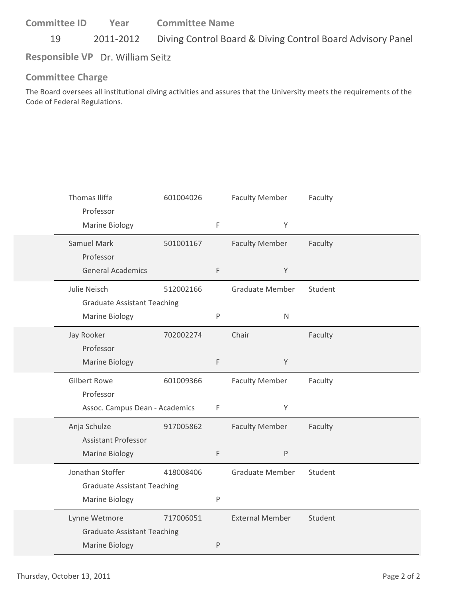19 2011-2012 Diving Control Board & Diving Control Board Advisory Panel

**Responsible VP** Dr. William Seitz

#### **Committee Charge**

The Board oversees all institutional diving activities and assures that the University meets the requirements of the Code of Federal Regulations.

| Thomas Iliffe<br>Professor         | 601004026 |           | <b>Faculty Member</b>  | Faculty |
|------------------------------------|-----------|-----------|------------------------|---------|
| Marine Biology                     |           | F         | Y                      |         |
| Samuel Mark                        | 501001167 |           | <b>Faculty Member</b>  | Faculty |
| Professor                          |           |           |                        |         |
| <b>General Academics</b>           |           | F         | $\mathsf Y$            |         |
| Julie Neisch                       | 512002166 |           | Graduate Member        | Student |
| <b>Graduate Assistant Teaching</b> |           |           |                        |         |
| Marine Biology                     |           | $\sf P$   | $\mathsf{N}$           |         |
| Jay Rooker                         | 702002274 |           | Chair                  | Faculty |
| Professor                          |           |           |                        |         |
| Marine Biology                     |           | F         | Y                      |         |
|                                    |           |           |                        |         |
| <b>Gilbert Rowe</b>                | 601009366 |           | <b>Faculty Member</b>  | Faculty |
| Professor                          |           |           |                        |         |
| Assoc. Campus Dean - Academics     |           | F         | Y                      |         |
| Anja Schulze                       | 917005862 |           | <b>Faculty Member</b>  | Faculty |
| <b>Assistant Professor</b>         |           |           |                        |         |
| <b>Marine Biology</b>              |           | F         | P                      |         |
| Jonathan Stoffer                   | 418008406 |           | Graduate Member        | Student |
| <b>Graduate Assistant Teaching</b> |           |           |                        |         |
| Marine Biology                     |           | ${\sf P}$ |                        |         |
| Lynne Wetmore                      | 717006051 |           | <b>External Member</b> | Student |
| <b>Graduate Assistant Teaching</b> |           |           |                        |         |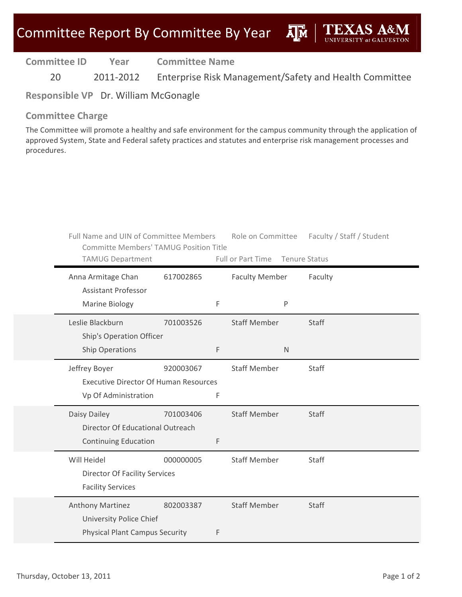| <b>Committee ID</b> | Year      | <b>Committee Name</b>                                  |
|---------------------|-----------|--------------------------------------------------------|
| 20                  | 2011-2012 | Enterprise Risk Management/Safety and Health Committee |

**Responsible VP** Dr. William McGonagle

#### **Committee Charge**

The Committee will promote a healthy and safe environment for the campus community through the application of approved System, State and Federal safety practices and statutes and enterprise risk management processes and procedures.

| Full Name and UIN of Committee Members<br><b>Committe Members' TAMUG Position Title</b> |           |   | Role on Committee               |              | Faculty / Staff / Student |
|-----------------------------------------------------------------------------------------|-----------|---|---------------------------------|--------------|---------------------------|
| <b>TAMUG Department</b>                                                                 |           |   | Full or Part Time Tenure Status |              |                           |
| Anna Armitage Chan<br><b>Assistant Professor</b>                                        | 617002865 |   | <b>Faculty Member</b>           |              | Faculty                   |
| Marine Biology                                                                          |           | F |                                 | P            |                           |
| Leslie Blackburn<br>Ship's Operation Officer                                            | 701003526 |   | <b>Staff Member</b>             |              | <b>Staff</b>              |
| <b>Ship Operations</b>                                                                  |           | F |                                 | $\mathsf{N}$ |                           |
| Jeffrey Boyer<br><b>Executive Director Of Human Resources</b>                           | 920003067 |   | <b>Staff Member</b>             |              | <b>Staff</b>              |
| Vp Of Administration                                                                    |           | F |                                 |              |                           |
| Daisy Dailey                                                                            | 701003406 |   | <b>Staff Member</b>             |              | Staff                     |
| Director Of Educational Outreach                                                        |           |   |                                 |              |                           |
| <b>Continuing Education</b>                                                             |           | F |                                 |              |                           |
| Will Heidel                                                                             | 000000005 |   | <b>Staff Member</b>             |              | Staff                     |
| <b>Director Of Facility Services</b>                                                    |           |   |                                 |              |                           |
| <b>Facility Services</b>                                                                |           |   |                                 |              |                           |
| Anthony Martinez                                                                        | 802003387 |   | <b>Staff Member</b>             |              | <b>Staff</b>              |
| <b>University Police Chief</b>                                                          |           |   |                                 |              |                           |
| <b>Physical Plant Campus Security</b>                                                   |           | F |                                 |              |                           |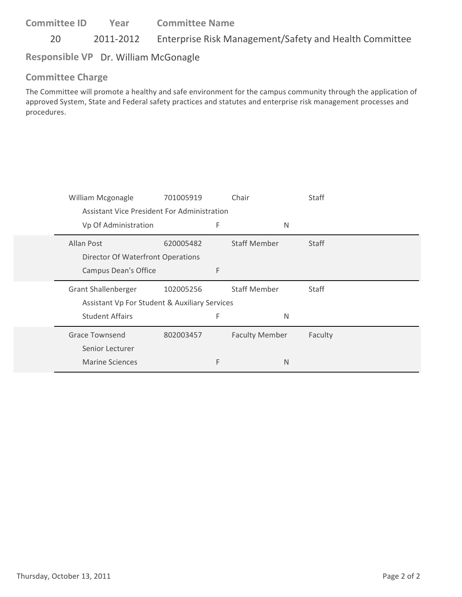20 2011-2012 Enterprise Risk Management/Safety and Health Committee

### **Responsible VP** Dr. William McGonagle

### **Committee Charge**

The Committee will promote a healthy and safe environment for the campus community through the application of approved System, State and Federal safety practices and statutes and enterprise risk management processes and procedures.

| William Mcgonagle                             | 701005919 |   | Chair                 | Staff        |  |
|-----------------------------------------------|-----------|---|-----------------------|--------------|--|
| Assistant Vice President For Administration   |           |   |                       |              |  |
| Vp Of Administration                          |           | F | N                     |              |  |
| Allan Post                                    | 620005482 |   | <b>Staff Member</b>   | <b>Staff</b> |  |
| Director Of Waterfront Operations             |           |   |                       |              |  |
| <b>Campus Dean's Office</b>                   |           | F |                       |              |  |
|                                               |           |   |                       |              |  |
| <b>Grant Shallenberger</b>                    | 102005256 |   | <b>Staff Member</b>   | Staff        |  |
| Assistant Vp For Student & Auxiliary Services |           |   |                       |              |  |
| <b>Student Affairs</b>                        |           | F | N                     |              |  |
| <b>Grace Townsend</b>                         | 802003457 |   | <b>Faculty Member</b> | Faculty      |  |
| Senior Lecturer                               |           |   |                       |              |  |
| <b>Marine Sciences</b>                        |           | F | N                     |              |  |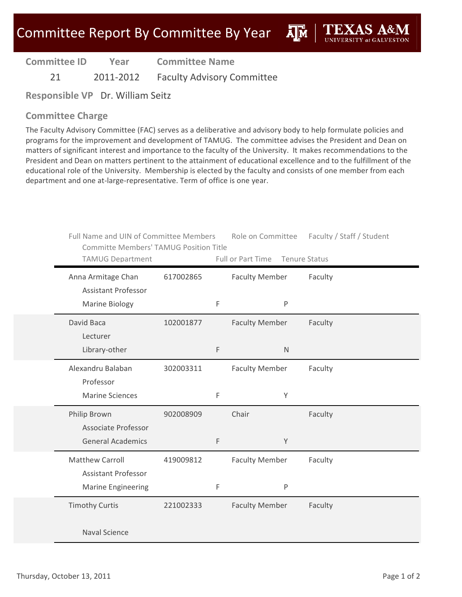**AIM** 

**Committee ID**

**Year Committee Name**

21 2011-2012 Faculty Advisory Committee

**Responsible VP** Dr. William Seitz

#### **Committee Charge**

The Faculty Advisory Committee (FAC) serves as a deliberative and advisory body to help formulate policies and programs for the improvement and development of TAMUG. The committee advises the President and Dean on matters of significant interest and importance to the faculty of the University. It makes recommendations to the President and Dean on matters pertinent to the attainment of educational excellence and to the fulfillment of the educational role of the University. Membership is elected by the faculty and consists of one member from each department and one at-large-representative. Term of office is one year.

| Full Name and UIN of Committee Members<br><b>Committe Members' TAMUG Position Title</b><br><b>TAMUG Department</b> |           |   | Role on Committee<br>Full or Part Time | Faculty / Staff / Student<br><b>Tenure Status</b> |
|--------------------------------------------------------------------------------------------------------------------|-----------|---|----------------------------------------|---------------------------------------------------|
| Anna Armitage Chan<br><b>Assistant Professor</b>                                                                   | 617002865 |   | <b>Faculty Member</b>                  | Faculty                                           |
| Marine Biology                                                                                                     |           | F | P                                      |                                                   |
| David Baca<br>Lecturer                                                                                             | 102001877 |   | <b>Faculty Member</b>                  | Faculty                                           |
| Library-other                                                                                                      |           | F | $\mathsf{N}$                           |                                                   |
| Alexandru Balaban<br>Professor                                                                                     | 302003311 |   | <b>Faculty Member</b>                  | Faculty                                           |
| <b>Marine Sciences</b>                                                                                             |           | F | Y                                      |                                                   |
| Philip Brown<br>Associate Professor                                                                                | 902008909 |   | Chair                                  | Faculty                                           |
| <b>General Academics</b>                                                                                           |           | F | Y                                      |                                                   |
| <b>Matthew Carroll</b><br><b>Assistant Professor</b>                                                               | 419009812 |   | <b>Faculty Member</b>                  | Faculty                                           |
| <b>Marine Engineering</b>                                                                                          |           | F | $\sf P$                                |                                                   |
| <b>Timothy Curtis</b>                                                                                              | 221002333 |   | <b>Faculty Member</b>                  | Faculty                                           |
| <b>Naval Science</b>                                                                                               |           |   |                                        |                                                   |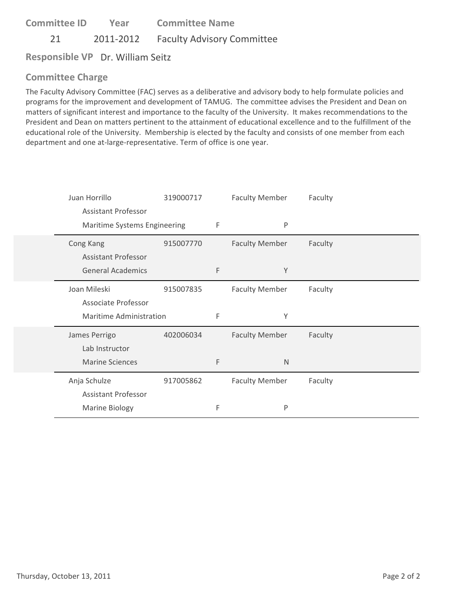21 2011-2012 Faculty Advisory Committee

**Responsible VP** Dr. William Seitz

# **Committee Charge**

The Faculty Advisory Committee (FAC) serves as a deliberative and advisory body to help formulate policies and programs for the improvement and development of TAMUG. The committee advises the President and Dean on matters of significant interest and importance to the faculty of the University. It makes recommendations to the President and Dean on matters pertinent to the attainment of educational excellence and to the fulfillment of the educational role of the University. Membership is elected by the faculty and consists of one member from each department and one at‐large‐representative. Term of office is one year.

| Juan Horrillo |                              | 319000717 |   | <b>Faculty Member</b> | Faculty |  |
|---------------|------------------------------|-----------|---|-----------------------|---------|--|
|               | <b>Assistant Professor</b>   |           |   |                       |         |  |
|               | Maritime Systems Engineering |           | F | P                     |         |  |
| Cong Kang     |                              | 915007770 |   | <b>Faculty Member</b> | Faculty |  |
|               | <b>Assistant Professor</b>   |           |   |                       |         |  |
|               | <b>General Academics</b>     |           | F | Y                     |         |  |
| Joan Mileski  |                              | 915007835 |   | <b>Faculty Member</b> | Faculty |  |
|               | Associate Professor          |           |   |                       |         |  |
|               | Maritime Administration      |           | F | Υ                     |         |  |
|               | James Perrigo                | 402006034 |   | <b>Faculty Member</b> | Faculty |  |
|               | Lab Instructor               |           |   |                       |         |  |
|               | <b>Marine Sciences</b>       |           | F | $\mathsf{N}$          |         |  |
| Anja Schulze  |                              | 917005862 |   | <b>Faculty Member</b> | Faculty |  |
|               | <b>Assistant Professor</b>   |           |   |                       |         |  |
|               | <b>Marine Biology</b>        |           | F | $\sf P$               |         |  |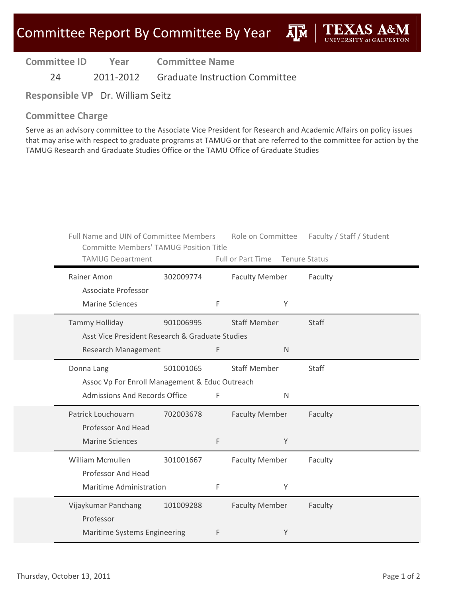**Committee ID**

**Year Committee Name**

24 2011-2012 Graduate Instruction Committee

**Responsible VP** Dr. William Seitz

#### **Committee Charge**

Serve as an advisory committee to the Associate Vice President for Research and Academic Affairs on policy issues that may arise with respect to graduate programs at TAMUG or that are referred to the committee for action by the TAMUG Research and Graduate Studies Office or the TAMU Office of Graduate Studies

| Full Name and UIN of Committee Members<br><b>Committe Members' TAMUG Position Title</b><br><b>TAMUG Department</b> |           |   | Role on Committee<br>Full or Part Time Tenure Status |   | Faculty / Staff / Student |
|--------------------------------------------------------------------------------------------------------------------|-----------|---|------------------------------------------------------|---|---------------------------|
| Rainer Amon<br>Associate Professor                                                                                 | 302009774 |   | <b>Faculty Member</b>                                |   | Faculty                   |
| <b>Marine Sciences</b>                                                                                             |           | F |                                                      | Υ |                           |
| <b>Tammy Holliday</b>                                                                                              | 901006995 |   | <b>Staff Member</b>                                  |   | <b>Staff</b>              |
| Asst Vice President Research & Graduate Studies                                                                    |           |   |                                                      |   |                           |
| <b>Research Management</b>                                                                                         |           | F |                                                      | N |                           |
| Donna Lang                                                                                                         | 501001065 |   | <b>Staff Member</b>                                  |   | Staff                     |
| Assoc Vp For Enroll Management & Educ Outreach                                                                     |           |   |                                                      |   |                           |
| Admissions And Records Office                                                                                      |           | F |                                                      | N |                           |
| Patrick Louchouarn                                                                                                 | 702003678 |   | <b>Faculty Member</b>                                |   | Faculty                   |
| Professor And Head                                                                                                 |           |   |                                                      |   |                           |
| <b>Marine Sciences</b>                                                                                             |           | F |                                                      | Y |                           |
| William Mcmullen                                                                                                   | 301001667 |   | <b>Faculty Member</b>                                |   | Faculty                   |
| Professor And Head                                                                                                 |           |   |                                                      |   |                           |
| Maritime Administration                                                                                            |           | F |                                                      | Y |                           |
| Vijaykumar Panchang                                                                                                | 101009288 |   | <b>Faculty Member</b>                                |   | Faculty                   |
| Professor                                                                                                          |           |   |                                                      |   |                           |
| Maritime Systems Engineering                                                                                       |           | F |                                                      | Y |                           |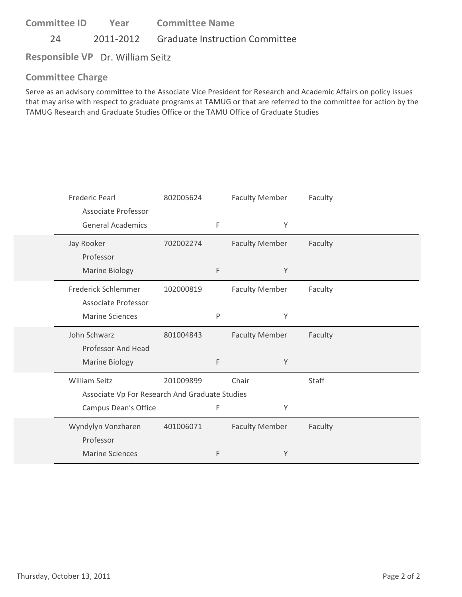24 2011-2012 Graduate Instruction Committee

**Responsible VP** Dr. William Seitz

### **Committee Charge**

Serve as an advisory committee to the Associate Vice President for Research and Academic Affairs on policy issues that may arise with respect to graduate programs at TAMUG or that are referred to the committee for action by the TAMUG Research and Graduate Studies Office or the TAMU Office of Graduate Studies

| <b>Frederic Pearl</b>                                                  | 802005624 |             | <b>Faculty Member</b> | Faculty |  |
|------------------------------------------------------------------------|-----------|-------------|-----------------------|---------|--|
| <b>Associate Professor</b><br><b>General Academics</b>                 |           | F           | Y                     |         |  |
| Jay Rooker<br>Professor                                                | 702002274 |             | <b>Faculty Member</b> | Faculty |  |
| Marine Biology                                                         |           | $\mathsf F$ | Y                     |         |  |
| Frederick Schlemmer                                                    | 102000819 |             | <b>Faculty Member</b> | Faculty |  |
| Associate Professor<br><b>Marine Sciences</b>                          |           | P           | Y                     |         |  |
| John Schwarz                                                           | 801004843 |             | <b>Faculty Member</b> | Faculty |  |
| Professor And Head<br><b>Marine Biology</b>                            |           | F           | Y                     |         |  |
| <b>William Seitz</b><br>Associate Vp For Research And Graduate Studies | 201009899 |             | Chair                 | Staff   |  |
| Campus Dean's Office                                                   |           | F           | Υ                     |         |  |
| Wyndylyn Vonzharen<br>Professor                                        | 401006071 |             | <b>Faculty Member</b> | Faculty |  |
| <b>Marine Sciences</b>                                                 |           | F           | Y                     |         |  |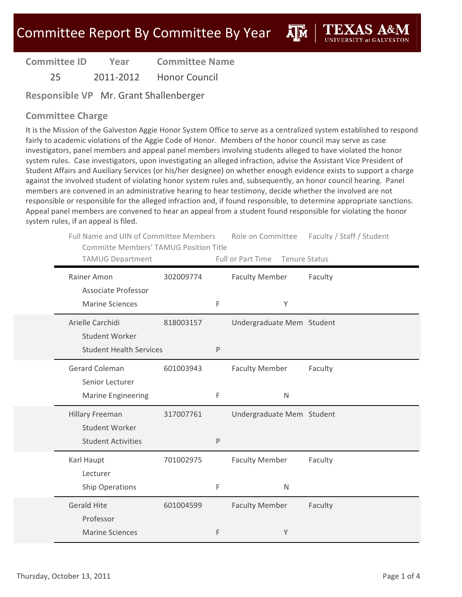ĀM

| <b>Committee ID</b> | Year      | <b>Committee Name</b> |
|---------------------|-----------|-----------------------|
| 25                  | 2011-2012 | <b>Honor Council</b>  |

**Responsible VP** Mr. Grant Shallenberger

#### **Committee Charge**

It is the Mission of the Galveston Aggie Honor System Office to serve as a centralized system established to respond fairly to academic violations of the Aggie Code of Honor. Members of the honor council may serve as case investigators, panel members and appeal panel members involving students alleged to have violated the honor system rules. Case investigators, upon investigating an alleged infraction, advise the Assistant Vice President of Student Affairs and Auxiliary Services (or his/her designee) on whether enough evidence exists to support a charge against the involved student of violating honor system rules and, subsequently, an honor council hearing. Panel members are convened in an administrative hearing to hear testimony, decide whether the involved are not responsible or responsible for the alleged infraction and, if found responsible, to determine appropriate sanctions. Appeal panel members are convened to hear an appeal from a student found responsible for violating the honor system rules, if an appeal is filed.

| th rails, if an appear is meal.                                                         |           |   |                                 |                           |
|-----------------------------------------------------------------------------------------|-----------|---|---------------------------------|---------------------------|
| Full Name and UIN of Committee Members<br><b>Committe Members' TAMUG Position Title</b> |           |   | Role on Committee               | Faculty / Staff / Student |
| <b>TAMUG Department</b>                                                                 |           |   | Full or Part Time Tenure Status |                           |
| Rainer Amon                                                                             | 302009774 |   | <b>Faculty Member</b>           | Faculty                   |
| <b>Associate Professor</b>                                                              |           |   |                                 |                           |
| <b>Marine Sciences</b>                                                                  |           | F | Υ                               |                           |
|                                                                                         |           |   |                                 |                           |
| Arielle Carchidi                                                                        | 818003157 |   | Undergraduate Mem Student       |                           |
| <b>Student Worker</b>                                                                   |           |   |                                 |                           |
| <b>Student Health Services</b>                                                          |           | P |                                 |                           |
|                                                                                         |           |   |                                 |                           |
| <b>Gerard Coleman</b>                                                                   | 601003943 |   | <b>Faculty Member</b>           | Faculty                   |
| Senior Lecturer                                                                         |           |   |                                 |                           |
| <b>Marine Engineering</b>                                                               |           | F | N                               |                           |
| <b>Hillary Freeman</b>                                                                  | 317007761 |   | Undergraduate Mem Student       |                           |
| <b>Student Worker</b>                                                                   |           |   |                                 |                           |
| <b>Student Activities</b>                                                               |           | P |                                 |                           |
|                                                                                         |           |   |                                 |                           |
| Karl Haupt                                                                              | 701002975 |   | <b>Faculty Member</b>           | Faculty                   |
| Lecturer                                                                                |           |   |                                 |                           |
| <b>Ship Operations</b>                                                                  |           | F | $\mathsf{N}$                    |                           |
| <b>Gerald Hite</b>                                                                      | 601004599 |   | <b>Faculty Member</b>           | Faculty                   |
| Professor                                                                               |           |   |                                 |                           |

F Y

Marine Sciences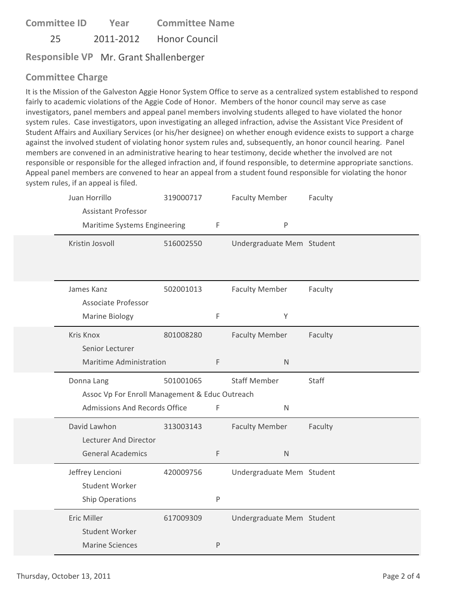**Committee ID** 25 2011‐2012 Honor Council **Year Committee Name**

**Responsible VP** Mr. Grant Shallenberger

# **Committee Charge**

It is the Mission of the Galveston Aggie Honor System Office to serve as a centralized system established to respond fairly to academic violations of the Aggie Code of Honor. Members of the honor council may serve as case investigators, panel members and appeal panel members involving students alleged to have violated the honor system rules. Case investigators, upon investigating an alleged infraction, advise the Assistant Vice President of Student Affairs and Auxiliary Services (or his/her designee) on whether enough evidence exists to support a charge against the involved student of violating honor system rules and, subsequently, an honor council hearing. Panel members are convened in an administrative hearing to hear testimony, decide whether the involved are not responsible or responsible for the alleged infraction and, if found responsible, to determine appropriate sanctions. Appeal panel members are convened to hear an appeal from a student found responsible for violating the honor system rules, if an appeal is filed.

| Juan Horrillo<br><b>Assistant Professor</b>    | 319000717 |   | <b>Faculty Member</b><br>$\sf P$ | Faculty |
|------------------------------------------------|-----------|---|----------------------------------|---------|
| Maritime Systems Engineering                   |           | F |                                  |         |
| Kristin Josvoll                                | 516002550 |   | Undergraduate Mem Student        |         |
|                                                |           |   |                                  |         |
| James Kanz                                     | 502001013 |   | <b>Faculty Member</b>            | Faculty |
| Associate Professor                            |           |   |                                  |         |
| Marine Biology                                 |           | F | Υ                                |         |
| Kris Knox                                      | 801008280 |   | <b>Faculty Member</b>            | Faculty |
| Senior Lecturer                                |           |   |                                  |         |
| Maritime Administration                        |           | F | $\mathsf{N}$                     |         |
| Donna Lang                                     | 501001065 |   | <b>Staff Member</b>              | Staff   |
| Assoc Vp For Enroll Management & Educ Outreach |           |   |                                  |         |
| Admissions And Records Office                  |           | F | $\mathsf{N}$                     |         |
| David Lawhon                                   | 313003143 |   | <b>Faculty Member</b>            | Faculty |
| Lecturer And Director                          |           |   |                                  |         |
| <b>General Academics</b>                       |           | F | $\mathsf{N}$                     |         |
| Jeffrey Lencioni                               | 420009756 |   | Undergraduate Mem Student        |         |
| Student Worker                                 |           |   |                                  |         |
| Ship Operations                                |           | P |                                  |         |
|                                                |           |   |                                  |         |
| Eric Miller                                    | 617009309 |   | Undergraduate Mem Student        |         |
| Student Worker                                 |           |   |                                  |         |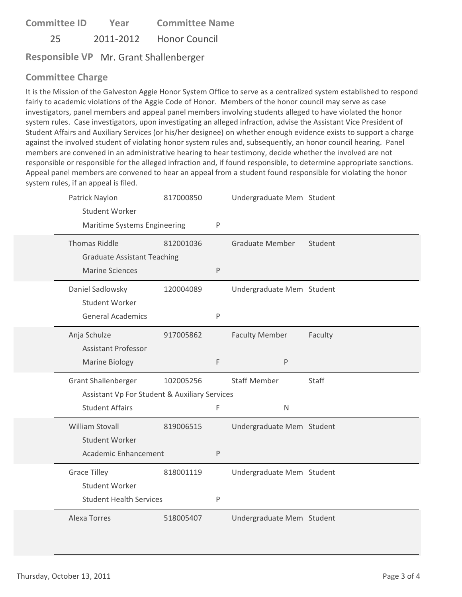**Committee ID** 25 2011‐2012 Honor Council **Year Committee Name**

**Responsible VP** Mr. Grant Shallenberger

# **Committee Charge**

It is the Mission of the Galveston Aggie Honor System Office to serve as a centralized system established to respond fairly to academic violations of the Aggie Code of Honor. Members of the honor council may serve as case investigators, panel members and appeal panel members involving students alleged to have violated the honor system rules. Case investigators, upon investigating an alleged infraction, advise the Assistant Vice President of Student Affairs and Auxiliary Services (or his/her designee) on whether enough evidence exists to support a charge against the involved student of violating honor system rules and, subsequently, an honor council hearing. Panel members are convened in an administrative hearing to hear testimony, decide whether the involved are not responsible or responsible for the alleged infraction and, if found responsible, to determine appropriate sanctions. Appeal panel members are convened to hear an appeal from a student found responsible for violating the honor system rules, if an appeal is filed.

| Patrick Naylon<br><b>Student Worker</b><br>Maritime Systems Engineering | 817000850 | ${\sf P}$    | Undergraduate Mem Student |         |
|-------------------------------------------------------------------------|-----------|--------------|---------------------------|---------|
|                                                                         |           |              |                           |         |
| <b>Thomas Riddle</b>                                                    | 812001036 |              | <b>Graduate Member</b>    | Student |
| <b>Graduate Assistant Teaching</b>                                      |           |              |                           |         |
| <b>Marine Sciences</b>                                                  |           | $\sf P$      |                           |         |
| Daniel Sadlowsky                                                        | 120004089 |              | Undergraduate Mem Student |         |
| <b>Student Worker</b>                                                   |           |              |                           |         |
| <b>General Academics</b>                                                |           | $\mathsf{P}$ |                           |         |
| Anja Schulze                                                            | 917005862 |              | <b>Faculty Member</b>     | Faculty |
| <b>Assistant Professor</b>                                              |           |              |                           |         |
| Marine Biology                                                          |           | F            | P                         |         |
| <b>Grant Shallenberger</b>                                              | 102005256 |              | <b>Staff Member</b>       | Staff   |
| Assistant Vp For Student & Auxiliary Services                           |           |              |                           |         |
| <b>Student Affairs</b>                                                  |           | F            | $\overline{N}$            |         |
| William Stovall                                                         | 819006515 |              | Undergraduate Mem Student |         |
| <b>Student Worker</b>                                                   |           |              |                           |         |
| Academic Enhancement                                                    |           | P            |                           |         |
| <b>Grace Tilley</b>                                                     | 818001119 |              | Undergraduate Mem Student |         |
| <b>Student Worker</b>                                                   |           |              |                           |         |
| <b>Student Health Services</b>                                          |           | P            |                           |         |
| <b>Alexa Torres</b>                                                     | 518005407 |              | Undergraduate Mem Student |         |
|                                                                         |           |              |                           |         |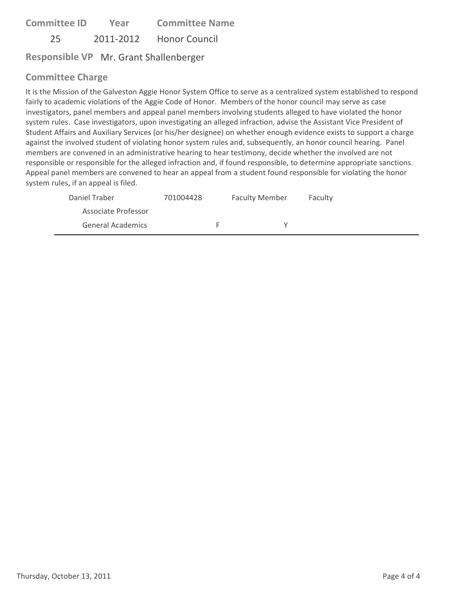**Committee ID** 25 2011‐2012 Honor Council **Year Committee Name**

**Responsible VP** Mr. Grant Shallenberger

### **Committee Charge**

It is the Mission of the Galveston Aggie Honor System Office to serve as a centralized system established to respond fairly to academic violations of the Aggie Code of Honor. Members of the honor council may serve as case investigators, panel members and appeal panel members involving students alleged to have violated the honor system rules. Case investigators, upon investigating an alleged infraction, advise the Assistant Vice President of Student Affairs and Auxiliary Services (or his/her designee) on whether enough evidence exists to support a charge against the involved student of violating honor system rules and, subsequently, an honor council hearing. Panel members are convened in an administrative hearing to hear testimony, decide whether the involved are not responsible or responsible for the alleged infraction and, if found responsible, to determine appropriate sanctions. Appeal panel members are convened to hear an appeal from a student found responsible for violating the honor system rules, if an appeal is filed.

| Daniel Traber            | 701004428 | <b>Faculty Member</b> | Faculty |
|--------------------------|-----------|-----------------------|---------|
| Associate Professor      |           |                       |         |
| <b>General Academics</b> |           |                       |         |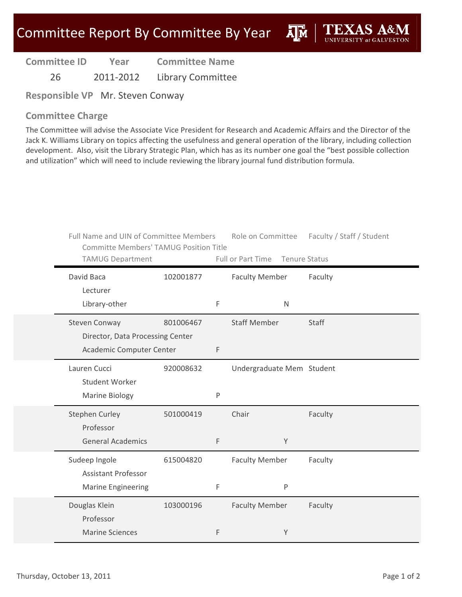**A**<sup>M</sup>

| <b>Committee ID</b> | Year      | <b>Committee Name</b>    |
|---------------------|-----------|--------------------------|
| 26                  | 2011-2012 | <b>Library Committee</b> |

**Responsible VP** Mr. Steven Conway

#### **Committee Charge**

The Committee will advise the Associate Vice President for Research and Academic Affairs and the Director of the Jack K. Williams Library on topics affecting the usefulness and general operation of the library, including collection development. Also, visit the Library Strategic Plan, which has as its number one goal the "best possible collection and utilization" which will need to include reviewing the library journal fund distribution formula.

| Full Name and UIN of Committee Members<br><b>Committe Members' TAMUG Position Title</b><br><b>TAMUG Department</b> |           |   | Full or Part Time         | <b>Tenure Status</b> | Role on Committee Faculty / Staff / Student |
|--------------------------------------------------------------------------------------------------------------------|-----------|---|---------------------------|----------------------|---------------------------------------------|
| David Baca<br>Lecturer                                                                                             | 102001877 |   | <b>Faculty Member</b>     |                      | Faculty                                     |
| Library-other                                                                                                      |           | F |                           | $\mathsf{N}$         |                                             |
| <b>Steven Conway</b><br>Director, Data Processing Center                                                           | 801006467 |   | <b>Staff Member</b>       |                      | Staff                                       |
| Academic Computer Center                                                                                           |           | F |                           |                      |                                             |
| Lauren Cucci<br><b>Student Worker</b>                                                                              | 920008632 |   | Undergraduate Mem Student |                      |                                             |
| Marine Biology                                                                                                     |           | P |                           |                      |                                             |
| <b>Stephen Curley</b><br>Professor                                                                                 | 501000419 |   | Chair                     |                      | Faculty                                     |
| <b>General Academics</b>                                                                                           |           | F |                           | Y                    |                                             |
| Sudeep Ingole<br><b>Assistant Professor</b>                                                                        | 615004820 |   | <b>Faculty Member</b>     |                      | Faculty                                     |
| <b>Marine Engineering</b>                                                                                          |           | F |                           | $\mathsf{P}$         |                                             |
| Douglas Klein<br>Professor                                                                                         | 103000196 |   | <b>Faculty Member</b>     |                      | Faculty                                     |
| <b>Marine Sciences</b>                                                                                             |           | F |                           | Υ                    |                                             |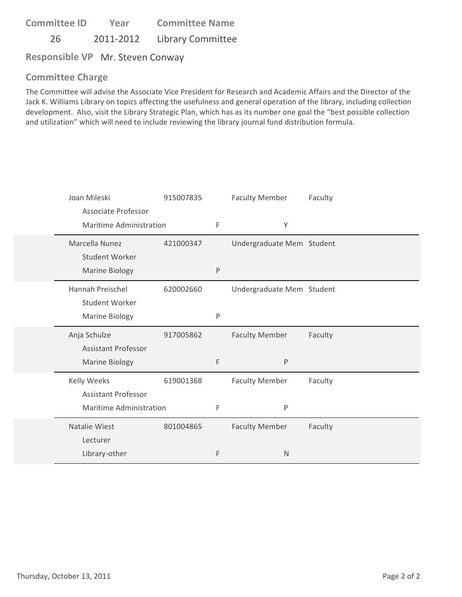**Committee ID** 26 2011-2012 Library Committee **Year Committee Name**

**Responsible VP** Mr. Steven Conway

### **Committee Charge**

The Committee will advise the Associate Vice President for Research and Academic Affairs and the Director of the Jack K. Williams Library on topics affecting the usefulness and general operation of the library, including collection development. Also, visit the Library Strategic Plan, which has as its number one goal the "best possible collection and utilization" which will need to include reviewing the library journal fund distribution formula.

| Joan Mileski                                   | 915007835 |   | <b>Faculty Member</b>     | Faculty |
|------------------------------------------------|-----------|---|---------------------------|---------|
| Associate Professor<br>Maritime Administration |           | F | Υ                         |         |
| Marcella Nunez<br><b>Student Worker</b>        | 421000347 |   | Undergraduate Mem Student |         |
| <b>Marine Biology</b>                          |           | P |                           |         |
| Hannah Preischel                               | 620002660 |   | Undergraduate Mem Student |         |
| Student Worker<br>Marine Biology               |           | P |                           |         |
| Anja Schulze                                   | 917005862 |   | <b>Faculty Member</b>     | Faculty |
| <b>Assistant Professor</b>                     |           |   |                           |         |
|                                                |           |   |                           |         |
| <b>Marine Biology</b>                          |           | F | P                         |         |
| Kelly Weeks                                    | 619001368 |   | <b>Faculty Member</b>     | Faculty |
| <b>Assistant Professor</b>                     |           |   |                           |         |
| Maritime Administration                        |           | F | Ρ                         |         |
| Natalie Wiest                                  | 801004865 |   | <b>Faculty Member</b>     | Faculty |
| Lecturer                                       |           |   |                           |         |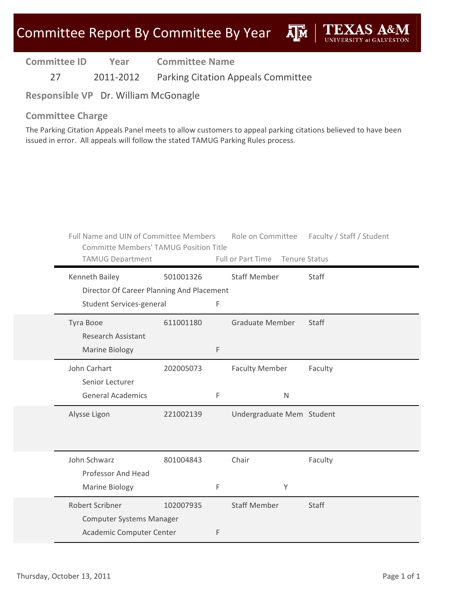**Дм** 

**Committee ID Year Committee Name**

27 2011-2012 Parking Citation Appeals Committee

**Responsible VP** Dr. William McGonagle

#### **Committee Charge**

The Parking Citation Appeals Panel meets to allow customers to appeal parking citations believed to have been issued in error. All appeals will follow the stated TAMUG Parking Rules process.

| Full Name and UIN of Committee Members<br><b>Committe Members' TAMUG Position Title</b><br>TAMUG Department |           |   | Role on Committee<br>Full or Part Time Tenure Status | Faculty / Staff / Student |
|-------------------------------------------------------------------------------------------------------------|-----------|---|------------------------------------------------------|---------------------------|
| Kenneth Bailey<br>Director Of Career Planning And Placement                                                 | 501001326 |   | <b>Staff Member</b>                                  | Staff                     |
| Student Services-general                                                                                    |           | F |                                                      |                           |
| Tyra Booe<br><b>Research Assistant</b>                                                                      | 611001180 |   | <b>Graduate Member</b>                               | Staff                     |
| <b>Marine Biology</b>                                                                                       |           | F |                                                      |                           |
| John Carhart<br>Senior Lecturer                                                                             | 202005073 |   | <b>Faculty Member</b>                                | Faculty                   |
| <b>General Academics</b>                                                                                    |           | F | $\mathsf N$                                          |                           |
| Alysse Ligon                                                                                                | 221002139 |   | Undergraduate Mem Student                            |                           |
| John Schwarz                                                                                                | 801004843 |   | Chair                                                | Faculty                   |
| Professor And Head                                                                                          |           |   |                                                      |                           |
| <b>Marine Biology</b>                                                                                       |           | F | Y                                                    |                           |
| <b>Robert Scribner</b><br><b>Computer Systems Manager</b>                                                   | 102007935 |   | <b>Staff Member</b>                                  | <b>Staff</b>              |
| Academic Computer Center                                                                                    |           | F |                                                      |                           |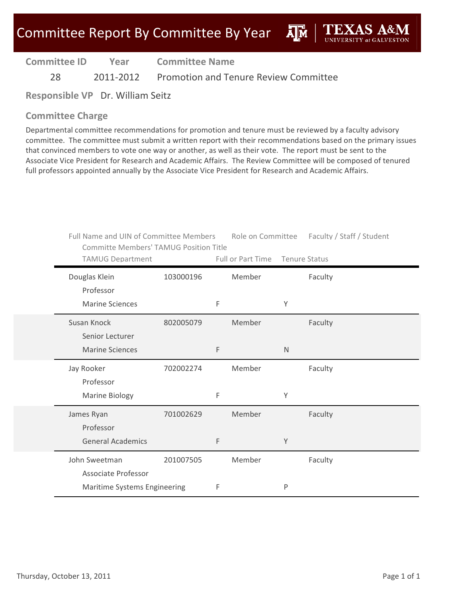**A**M

**Committee ID Year Committee Name**

28 2011-2012 Promotion and Tenure Review Committee

**Responsible VP** Dr. William Seitz

### **Committee Charge**

Departmental committee recommendations for promotion and tenure must be reviewed by a faculty advisory committee. The committee must submit a written report with their recommendations based on the primary issues that convinced members to vote one way or another, as well as their vote. The report must be sent to the Associate Vice President for Research and Academic Affairs. The Review Committee will be composed of tenured full professors appointed annually by the Associate Vice President for Research and Academic Affairs.

|                              | <b>Full Name and UIN of Committee Members</b><br><b>Committe Members' TAMUG Position Title</b> |             |                   |              | Role on Committee Faculty / Staff / Student |
|------------------------------|------------------------------------------------------------------------------------------------|-------------|-------------------|--------------|---------------------------------------------|
| <b>TAMUG Department</b>      |                                                                                                |             | Full or Part Time |              | <b>Tenure Status</b>                        |
| Douglas Klein                | 103000196                                                                                      |             | Member            |              | Faculty                                     |
| Professor                    |                                                                                                |             |                   |              |                                             |
| <b>Marine Sciences</b>       |                                                                                                | F           |                   | Υ            |                                             |
| Susan Knock                  | 802005079                                                                                      |             | Member            |              | Faculty                                     |
| Senior Lecturer              |                                                                                                |             |                   |              |                                             |
| <b>Marine Sciences</b>       |                                                                                                | $\mathsf F$ |                   | $\mathsf{N}$ |                                             |
| Jay Rooker                   | 702002274                                                                                      |             | Member            |              | Faculty                                     |
| Professor                    |                                                                                                |             |                   |              |                                             |
| Marine Biology               |                                                                                                | F           |                   | Υ            |                                             |
| James Ryan                   | 701002629                                                                                      |             | Member            |              | Faculty                                     |
| Professor                    |                                                                                                |             |                   |              |                                             |
| <b>General Academics</b>     |                                                                                                | $\mathsf F$ |                   | Y            |                                             |
| John Sweetman                | 201007505                                                                                      |             | Member            |              | Faculty                                     |
| Associate Professor          |                                                                                                |             |                   |              |                                             |
| Maritime Systems Engineering |                                                                                                | F           |                   | P            |                                             |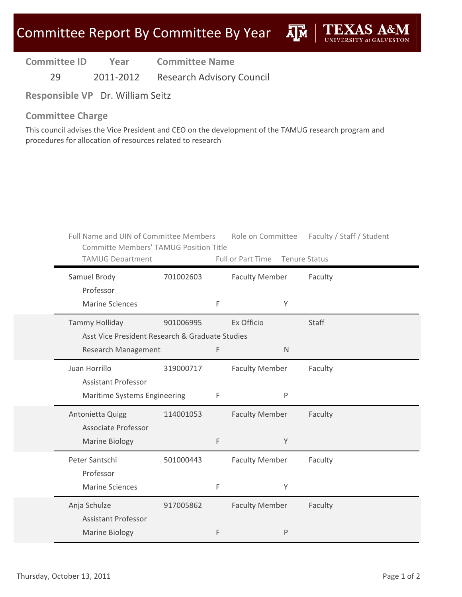29 2011‐2012 Research Advisory Council

**Responsible VP** Dr. William Seitz

#### **Committee Charge**

This council advises the Vice President and CEO on the development of the TAMUG research program and procedures for allocation of resources related to research

| Full Name and UIN of Committee Members<br><b>Committe Members' TAMUG Position Title</b><br><b>TAMUG Department</b> |           |             | Full or Part Time Tenure Status |              | Role on Committee Faculty / Staff / Student |
|--------------------------------------------------------------------------------------------------------------------|-----------|-------------|---------------------------------|--------------|---------------------------------------------|
| Samuel Brody<br>Professor                                                                                          | 701002603 |             | <b>Faculty Member</b>           |              | Faculty                                     |
| <b>Marine Sciences</b>                                                                                             |           | $\mathsf F$ |                                 | Y            |                                             |
| <b>Tammy Holliday</b>                                                                                              | 901006995 |             | Ex Officio                      |              | Staff                                       |
| Asst Vice President Research & Graduate Studies                                                                    |           |             |                                 |              |                                             |
| Research Management                                                                                                |           | F           |                                 | $\mathsf{N}$ |                                             |
| Juan Horrillo                                                                                                      | 319000717 |             | <b>Faculty Member</b>           |              | Faculty                                     |
| <b>Assistant Professor</b>                                                                                         |           |             |                                 |              |                                             |
| Maritime Systems Engineering                                                                                       |           | F           |                                 | $\mathsf{P}$ |                                             |
| Antonietta Quigg                                                                                                   | 114001053 |             | <b>Faculty Member</b>           |              | Faculty                                     |
| <b>Associate Professor</b>                                                                                         |           |             |                                 |              |                                             |
| Marine Biology                                                                                                     |           | F           |                                 | Y            |                                             |
| Peter Santschi                                                                                                     | 501000443 |             | <b>Faculty Member</b>           |              | Faculty                                     |
| Professor                                                                                                          |           |             |                                 |              |                                             |
|                                                                                                                    |           |             |                                 |              |                                             |
| <b>Marine Sciences</b>                                                                                             |           | F           |                                 | Υ            |                                             |
| Anja Schulze                                                                                                       | 917005862 |             | <b>Faculty Member</b>           |              | Faculty                                     |
| <b>Assistant Professor</b>                                                                                         |           |             |                                 |              |                                             |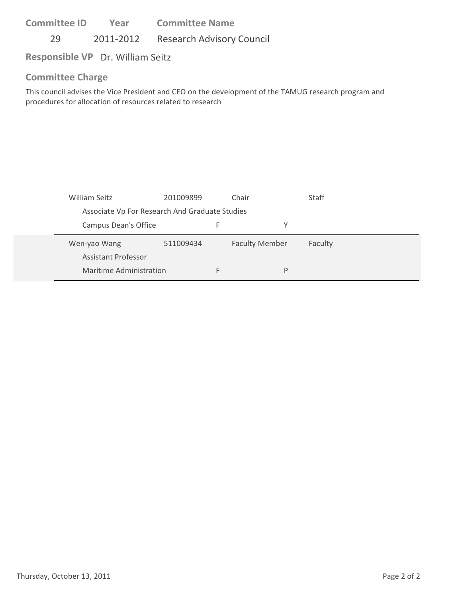29 2011-2012 Research Advisory Council

**Responsible VP** Dr. William Seitz

#### **Committee Charge**

This council advises the Vice President and CEO on the development of the TAMUG research program and procedures for allocation of resources related to research

| William Seitz               | 201009899                                      |  | Chair                 | Staff   |  |  |
|-----------------------------|------------------------------------------------|--|-----------------------|---------|--|--|
|                             | Associate Vp For Research And Graduate Studies |  |                       |         |  |  |
| <b>Campus Dean's Office</b> |                                                |  |                       |         |  |  |
|                             |                                                |  |                       |         |  |  |
| Wen-yao Wang                | 511009434                                      |  | <b>Faculty Member</b> | Faculty |  |  |
| Assistant Professor         |                                                |  |                       |         |  |  |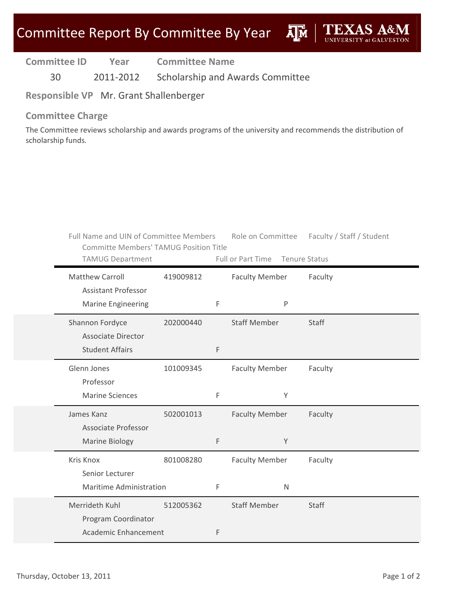**A**<sub>M</sub>

| <b>Committee ID</b> | Year      | <b>Committee Name</b>                   |
|---------------------|-----------|-----------------------------------------|
| 30                  | 2011-2012 | <b>Scholarship and Awards Committee</b> |

**Responsible VP** Mr. Grant Shallenberger

#### **Committee Charge**

The Committee reviews scholarship and awards programs of the university and recommends the distribution of scholarship funds.

| Full Name and UIN of Committee Members<br><b>Committe Members' TAMUG Position Title</b><br><b>TAMUG Department</b> |           |   | Full or Part Time Tenure Status | Role on Committee Faculty / Staff / Student |
|--------------------------------------------------------------------------------------------------------------------|-----------|---|---------------------------------|---------------------------------------------|
| <b>Matthew Carroll</b><br><b>Assistant Professor</b>                                                               | 419009812 |   | <b>Faculty Member</b>           | Faculty                                     |
| <b>Marine Engineering</b>                                                                                          |           | F | P                               |                                             |
| Shannon Fordyce<br><b>Associate Director</b>                                                                       | 202000440 |   | <b>Staff Member</b>             | <b>Staff</b>                                |
| <b>Student Affairs</b>                                                                                             |           | F |                                 |                                             |
| Glenn Jones<br>Professor                                                                                           | 101009345 |   | <b>Faculty Member</b>           | Faculty                                     |
| <b>Marine Sciences</b>                                                                                             |           | F | Y                               |                                             |
| James Kanz<br>Associate Professor                                                                                  | 502001013 |   | <b>Faculty Member</b>           | Faculty                                     |
| <b>Marine Biology</b>                                                                                              |           | F | Y                               |                                             |
| Kris Knox<br>Senior Lecturer                                                                                       | 801008280 |   | <b>Faculty Member</b>           | Faculty                                     |
| Maritime Administration                                                                                            |           | F | $\mathsf{N}$                    |                                             |
| Merrideth Kuhl<br>Program Coordinator                                                                              | 512005362 |   | <b>Staff Member</b>             | Staff                                       |
| Academic Enhancement                                                                                               |           | F |                                 |                                             |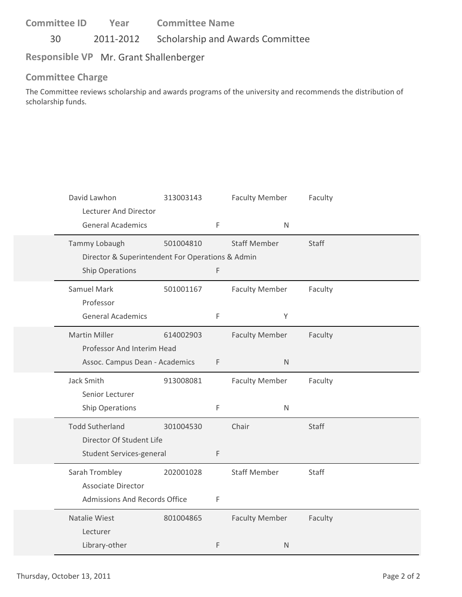30 2011‐2012 Scholarship and Awards Committee

## **Responsible VP** Mr. Grant Shallenberger

#### **Committee Charge**

The Committee reviews scholarship and awards programs of the university and recommends the distribution of scholarship funds.

| David Lawhon<br>Lecturer And Director            | 313003143 |   | <b>Faculty Member</b> | Faculty      |
|--------------------------------------------------|-----------|---|-----------------------|--------------|
| <b>General Academics</b>                         |           | F | $\mathsf{N}$          |              |
| Tammy Lobaugh                                    | 501004810 |   | <b>Staff Member</b>   | <b>Staff</b> |
| Director & Superintendent For Operations & Admin |           |   |                       |              |
| <b>Ship Operations</b>                           |           | F |                       |              |
| Samuel Mark                                      | 501001167 |   | <b>Faculty Member</b> | Faculty      |
| Professor                                        |           |   |                       |              |
| <b>General Academics</b>                         |           | F | Y                     |              |
| <b>Martin Miller</b>                             | 614002903 |   | <b>Faculty Member</b> | Faculty      |
| Professor And Interim Head                       |           |   |                       |              |
| Assoc. Campus Dean - Academics                   |           | F | $\mathsf{N}$          |              |
| Jack Smith                                       | 913008081 |   | <b>Faculty Member</b> | Faculty      |
| Senior Lecturer                                  |           |   |                       |              |
| Ship Operations                                  |           | F | ${\sf N}$             |              |
| <b>Todd Sutherland</b>                           | 301004530 |   | Chair                 | <b>Staff</b> |
| Director Of Student Life                         |           |   |                       |              |
| Student Services-general                         |           | F |                       |              |
| Sarah Trombley                                   | 202001028 |   | <b>Staff Member</b>   | Staff        |
| <b>Associate Director</b>                        |           |   |                       |              |
| Admissions And Records Office                    |           | F |                       |              |
| Natalie Wiest                                    | 801004865 |   | <b>Faculty Member</b> | Faculty      |
| Lecturer                                         |           |   |                       |              |
| Library-other                                    |           | F | $\mathsf{N}$          |              |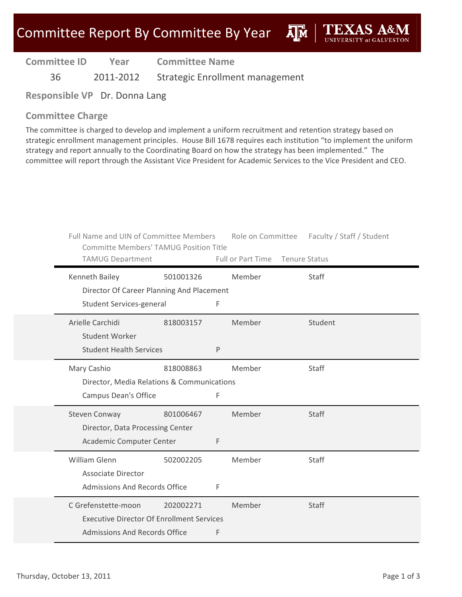**AIM** 

**Committee ID**

**Year Committee Name**

36 2011‐2012 Strategic Enrollment management

**Responsible VP** Dr. Donna Lang

### **Committee Charge**

The committee is charged to develop and implement a uniform recruitment and retention strategy based on strategic enrollment management principles. House Bill 1678 requires each institution "to implement the uniform strategy and report annually to the Coordinating Board on how the strategy has been implemented." The committee will report through the Assistant Vice President for Academic Services to the Vice President and CEO.

| Full Name and UIN of Committee Members<br><b>Committe Members' TAMUG Position Title</b> |           |   | Role on Committee               | Faculty / Staff / Student |
|-----------------------------------------------------------------------------------------|-----------|---|---------------------------------|---------------------------|
| <b>TAMUG Department</b>                                                                 |           |   | Full or Part Time Tenure Status |                           |
| Kenneth Bailey                                                                          | 501001326 |   | Member                          | Staff                     |
| Director Of Career Planning And Placement                                               |           |   |                                 |                           |
| Student Services-general                                                                |           | F |                                 |                           |
| Arielle Carchidi                                                                        | 818003157 |   | Member                          | Student                   |
| <b>Student Worker</b>                                                                   |           |   |                                 |                           |
| <b>Student Health Services</b>                                                          |           | P |                                 |                           |
| Mary Cashio                                                                             | 818008863 |   | Member                          | Staff                     |
| Director, Media Relations & Communications                                              |           |   |                                 |                           |
| <b>Campus Dean's Office</b>                                                             |           | F |                                 |                           |
| <b>Steven Conway</b>                                                                    | 801006467 |   | Member                          | <b>Staff</b>              |
| Director, Data Processing Center                                                        |           |   |                                 |                           |
| Academic Computer Center                                                                |           | F |                                 |                           |
| William Glenn                                                                           | 502002205 |   | Member                          | <b>Staff</b>              |
| <b>Associate Director</b>                                                               |           |   |                                 |                           |
| <b>Admissions And Records Office</b>                                                    |           | F |                                 |                           |
| C Grefenstette-moon                                                                     | 202002271 |   | Member                          | <b>Staff</b>              |
| <b>Executive Director Of Enrollment Services</b>                                        |           |   |                                 |                           |
| <b>Admissions And Records Office</b>                                                    |           | F |                                 |                           |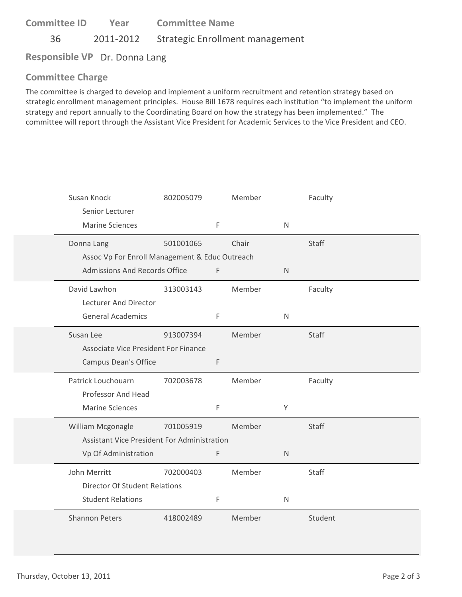**Committee ID** 36 2011‐2012 Strategic Enrollment management **Year Committee Name**

**Responsible VP** Dr. Donna Lang

### **Committee Charge**

The committee is charged to develop and implement a uniform recruitment and retention strategy based on strategic enrollment management principles. House Bill 1678 requires each institution "to implement the uniform strategy and report annually to the Coordinating Board on how the strategy has been implemented." The committee will report through the Assistant Vice President for Academic Services to the Vice President and CEO.

| Susan Knock<br>Senior Lecturer                 | 802005079 |   | Member |              | Faculty |
|------------------------------------------------|-----------|---|--------|--------------|---------|
| <b>Marine Sciences</b>                         |           | F |        | $\mathsf{N}$ |         |
| Donna Lang                                     | 501001065 |   | Chair  |              | Staff   |
| Assoc Vp For Enroll Management & Educ Outreach |           |   |        |              |         |
| Admissions And Records Office                  |           | F |        | $\mathsf{N}$ |         |
| David Lawhon                                   | 313003143 |   | Member |              | Faculty |
| Lecturer And Director                          |           |   |        |              |         |
| <b>General Academics</b>                       |           | F |        | $\mathsf{N}$ |         |
| Susan Lee                                      | 913007394 |   | Member |              | Staff   |
| <b>Associate Vice President For Finance</b>    |           |   |        |              |         |
| <b>Campus Dean's Office</b>                    |           | F |        |              |         |
| Patrick Louchouarn                             | 702003678 |   | Member |              | Faculty |
| Professor And Head                             |           |   |        |              |         |
| <b>Marine Sciences</b>                         |           | F |        | Y            |         |
| William Mcgonagle                              | 701005919 |   | Member |              | Staff   |
| Assistant Vice President For Administration    |           |   |        |              |         |
| Vp Of Administration                           |           | F |        | $\mathsf{N}$ |         |
| John Merritt                                   | 702000403 |   | Member |              | Staff   |
| <b>Director Of Student Relations</b>           |           |   |        |              |         |
| <b>Student Relations</b>                       |           | F |        | $\mathsf{N}$ |         |
| <b>Shannon Peters</b>                          | 418002489 |   | Member |              | Student |
|                                                |           |   |        |              |         |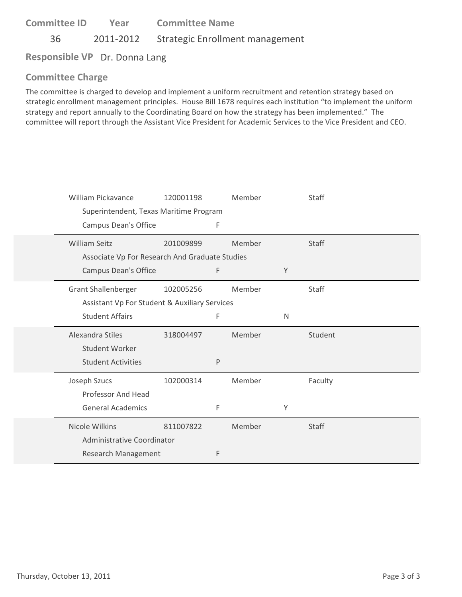**Committee ID** 36 2011‐2012 Strategic Enrollment management **Year Committee Name**

**Responsible VP** Dr. Donna Lang

# **Committee Charge**

The committee is charged to develop and implement a uniform recruitment and retention strategy based on strategic enrollment management principles. House Bill 1678 requires each institution "to implement the uniform strategy and report annually to the Coordinating Board on how the strategy has been implemented." The committee will report through the Assistant Vice President for Academic Services to the Vice President and CEO.

| William Pickavance                             | 120001198 |   | Member |   | Staff   |
|------------------------------------------------|-----------|---|--------|---|---------|
| Superintendent, Texas Maritime Program         |           |   |        |   |         |
| Campus Dean's Office                           |           | F |        |   |         |
| <b>William Seitz</b>                           | 201009899 |   | Member |   | Staff   |
| Associate Vp For Research And Graduate Studies |           |   |        |   |         |
| Campus Dean's Office                           |           | F |        | Y |         |
| Grant Shallenberger                            | 102005256 |   | Member |   | Staff   |
| Assistant Vp For Student & Auxiliary Services  |           |   |        |   |         |
| <b>Student Affairs</b>                         |           | F |        | N |         |
| Alexandra Stiles                               | 318004497 |   | Member |   | Student |
| <b>Student Worker</b>                          |           |   |        |   |         |
| <b>Student Activities</b>                      |           | P |        |   |         |
| Joseph Szucs                                   | 102000314 |   | Member |   | Faculty |
| Professor And Head                             |           |   |        |   |         |
| <b>General Academics</b>                       |           | F |        | Υ |         |
| Nicole Wilkins                                 | 811007822 |   | Member |   | Staff   |
| Administrative Coordinator                     |           |   |        |   |         |
| Research Management                            |           | F |        |   |         |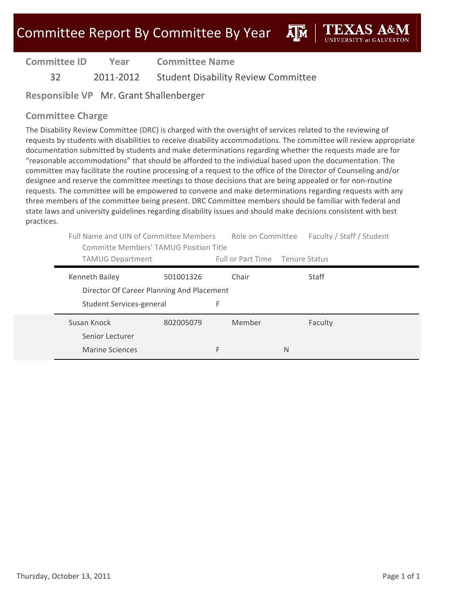**A**M

| <b>Committee ID</b> | Year      | <b>Committee Name</b>                      |
|---------------------|-----------|--------------------------------------------|
| 32 <sup>-</sup>     | 2011-2012 | <b>Student Disability Review Committee</b> |

**Responsible VP** Mr. Grant Shallenberger

### **Committee Charge**

The Disability Review Committee (DRC) is charged with the oversight of services related to the reviewing of requests by students with disabilities to receive disability accommodations. The committee will review appropriate documentation submitted by students and make determinations regarding whether the requests made are for "reasonable accommodations" that should be afforded to the individual based upon the documentation. The committee may facilitate the routine processing of a request to the office of the Director of Counseling and/or designee and reserve the committee meetings to those decisions that are being appealed or for non‐routine requests. The committee will be empowered to convene and make determinations regarding requests with any three members of the committee being present. DRC Committee members should be familiar with federal and state laws and university guidelines regarding disability issues and should make decisions consistent with best practices.

|                                                             | Full Name and UIN of Committee Members<br>Committe Members' TAMUG Position Title |                                 | Role on Committee<br>Faculty / Staff / Student |  |
|-------------------------------------------------------------|----------------------------------------------------------------------------------|---------------------------------|------------------------------------------------|--|
| <b>TAMUG Department</b>                                     |                                                                                  | Full or Part Time Tenure Status |                                                |  |
| Kenneth Bailey<br>Director Of Career Planning And Placement | 501001326                                                                        | Chair                           | Staff                                          |  |
| Student Services-general                                    |                                                                                  | F                               |                                                |  |
| Susan Knock<br>Senior Lecturer                              | 802005079                                                                        | Member                          | Faculty                                        |  |
| Marine Sciences                                             |                                                                                  | F                               | N                                              |  |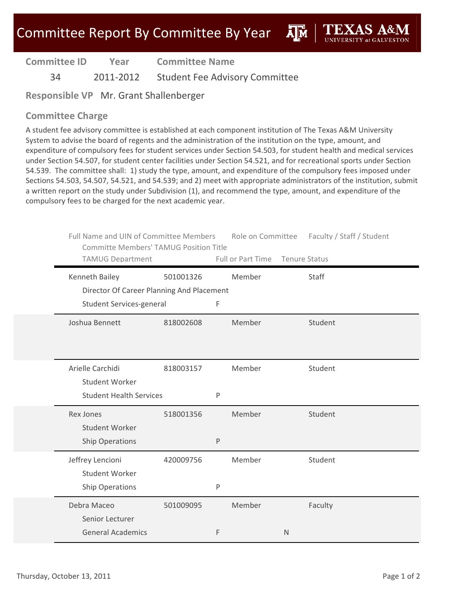ĀĪМ

| <b>Committee ID</b> | Year      | <b>Committee Name</b>                 |
|---------------------|-----------|---------------------------------------|
| 34                  | 2011-2012 | <b>Student Fee Advisory Committee</b> |

**Responsible VP** Mr. Grant Shallenberger

### **Committee Charge**

A student fee advisory committee is established at each component institution of The Texas A&M University System to advise the board of regents and the administration of the institution on the type, amount, and expenditure of compulsory fees for student services under Section 54.503, for student health and medical services under Section 54.507, for student center facilities under Section 54.521, and for recreational sports under Section 54.539. The committee shall: 1) study the type, amount, and expenditure of the compulsory fees imposed under Sections 54.503, 54.507, 54.521, and 54.539; and 2) meet with appropriate administrators of the institution, submit a written report on the study under Subdivision (1), and recommend the type, amount, and expenditure of the compulsory fees to be charged for the next academic year.

| Full Name and UIN of Committee Members<br><b>Committe Members' TAMUG Position Title</b><br><b>TAMUG Department</b> |           |   | Role on Committee<br>Full or Part Time |              | Faculty / Staff / Student<br><b>Tenure Status</b> |
|--------------------------------------------------------------------------------------------------------------------|-----------|---|----------------------------------------|--------------|---------------------------------------------------|
| Kenneth Bailey                                                                                                     | 501001326 |   | Member                                 |              | Staff                                             |
| Director Of Career Planning And Placement<br>Student Services-general                                              |           | F |                                        |              |                                                   |
| Joshua Bennett                                                                                                     | 818002608 |   | Member                                 |              | Student                                           |
|                                                                                                                    |           |   |                                        |              |                                                   |
| Arielle Carchidi<br>Student Worker                                                                                 | 818003157 |   | Member                                 |              | Student                                           |
| <b>Student Health Services</b>                                                                                     |           | P |                                        |              |                                                   |
| <b>Rex Jones</b><br><b>Student Worker</b>                                                                          | 518001356 |   | Member                                 |              | Student                                           |
| <b>Ship Operations</b>                                                                                             |           | P |                                        |              |                                                   |
| Jeffrey Lencioni<br><b>Student Worker</b>                                                                          | 420009756 |   | Member                                 |              | Student                                           |
| <b>Ship Operations</b>                                                                                             |           | P |                                        |              |                                                   |
| Debra Maceo<br>Senior Lecturer                                                                                     | 501009095 |   | Member                                 |              | Faculty                                           |
| <b>General Academics</b>                                                                                           |           | F |                                        | $\mathsf{N}$ |                                                   |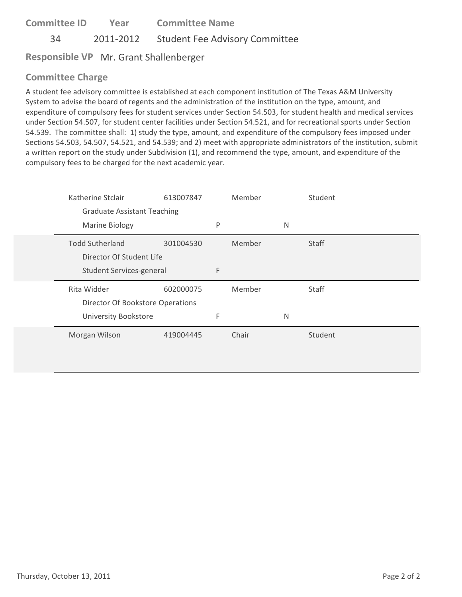**Committee ID** 34 2011‐2012 Student Fee Advisory Committee **Year Committee Name**

**Responsible VP** Mr. Grant Shallenberger

### **Committee Charge**

A student fee advisory committee is established at each component institution of The Texas A&M University System to advise the board of regents and the administration of the institution on the type, amount, and expenditure of compulsory fees for student services under Section 54.503, for student health and medical services under Section 54.507, for student center facilities under Section 54.521, and for recreational sports under Section 54.539. The committee shall: 1) study the type, amount, and expenditure of the compulsory fees imposed under Sections 54.503, 54.507, 54.521, and 54.539; and 2) meet with appropriate administrators of the institution, submit a written report on the study under Subdivision (1), and recommend the type, amount, and expenditure of the compulsory fees to be charged for the next academic year.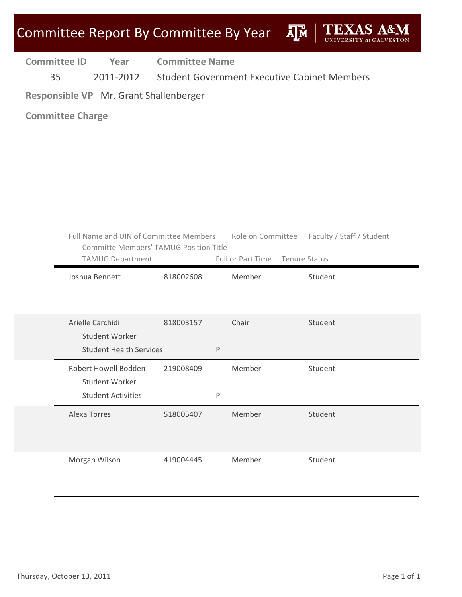

35 2011‐2012 Student Government Executive Cabinet Members

**Responsible VP** Mr. Grant Shallenberger

| Full Name and UIN of Committee Members<br><b>Committe Members' TAMUG Position Title</b><br><b>TAMUG Department</b> |           | Full or Part Time Tenure Status | Role on Committee Faculty / Staff / Student |
|--------------------------------------------------------------------------------------------------------------------|-----------|---------------------------------|---------------------------------------------|
| Joshua Bennett                                                                                                     | 818002608 | Member                          | Student                                     |
|                                                                                                                    |           |                                 |                                             |
| Arielle Carchidi                                                                                                   | 818003157 | Chair                           | Student                                     |
| <b>Student Worker</b><br><b>Student Health Services</b>                                                            | P         |                                 |                                             |
| Robert Howell Bodden                                                                                               | 219008409 | Member                          | Student                                     |
| Student Worker<br><b>Student Activities</b>                                                                        | P         |                                 |                                             |
| Alexa Torres                                                                                                       | 518005407 | Member                          | Student                                     |
|                                                                                                                    |           |                                 |                                             |
| Morgan Wilson                                                                                                      | 419004445 | Member                          | Student                                     |
|                                                                                                                    |           |                                 |                                             |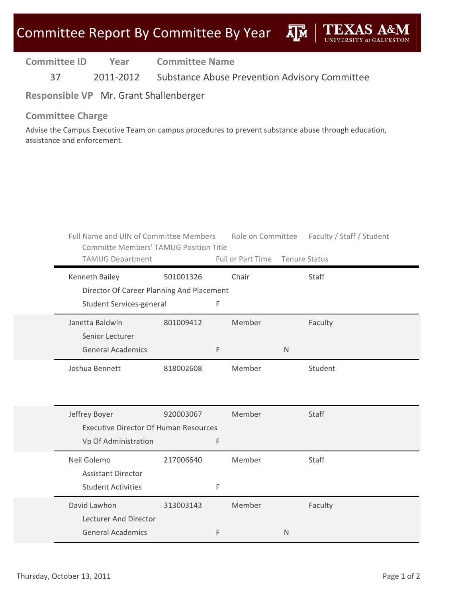| <b>Committee ID</b> | Year      | <b>Committee Name</b>                         |
|---------------------|-----------|-----------------------------------------------|
| 37                  | 2011-2012 | Substance Abuse Prevention Advisory Committee |

**Responsible VP** Mr. Grant Shallenberger

#### **Committee Charge**

Advise the Campus Executive Team on campus procedures to prevent substance abuse through education, assistance and enforcement.

| Full Name and UIN of Committee Members<br><b>Committe Members' TAMUG Position Title</b><br><b>TAMUG Department</b> |           |   | Full or Part Time Tenure Status |              | Role on Committee Faculty / Staff / Student |
|--------------------------------------------------------------------------------------------------------------------|-----------|---|---------------------------------|--------------|---------------------------------------------|
| Kenneth Bailey<br>Director Of Career Planning And Placement                                                        | 501001326 |   | Chair                           |              | Staff                                       |
| Student Services-general                                                                                           |           | F |                                 |              |                                             |
| Janetta Baldwin                                                                                                    | 801009412 |   | Member                          |              | Faculty                                     |
| Senior Lecturer                                                                                                    |           |   |                                 |              |                                             |
| <b>General Academics</b>                                                                                           |           | F |                                 | $\mathsf{N}$ |                                             |
| Joshua Bennett                                                                                                     | 818002608 |   | Member                          |              | Student                                     |
|                                                                                                                    |           |   |                                 |              |                                             |
| Jeffrey Boyer                                                                                                      | 920003067 |   | Member                          |              | Staff                                       |
| <b>Executive Director Of Human Resources</b>                                                                       |           |   |                                 |              |                                             |
| Vp Of Administration                                                                                               |           | F |                                 |              |                                             |
| Neil Golemo                                                                                                        | 217006640 |   | Member                          |              | Staff                                       |
| <b>Assistant Director</b>                                                                                          |           |   |                                 |              |                                             |
| <b>Student Activities</b>                                                                                          |           | F |                                 |              |                                             |
| David Lawhon                                                                                                       | 313003143 |   | Member                          |              | Faculty                                     |
| Lecturer And Director                                                                                              |           |   |                                 |              |                                             |
| <b>General Academics</b>                                                                                           |           | F |                                 | N            |                                             |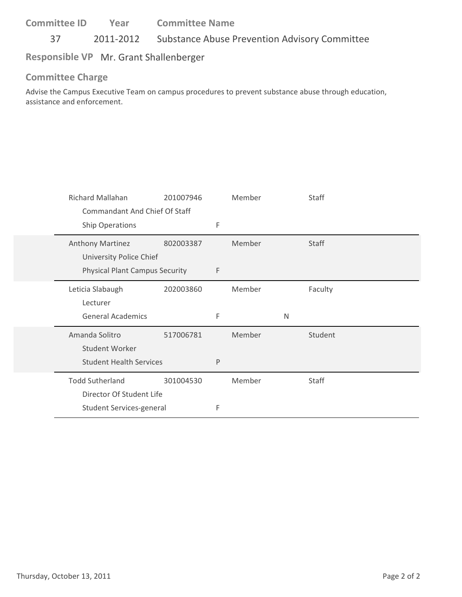37 2011‐2012 Substance Abuse Prevention Advisory Committee

# **Responsible VP** Mr. Grant Shallenberger

### **Committee Charge**

Advise the Campus Executive Team on campus procedures to prevent substance abuse through education, assistance and enforcement.

| <b>Richard Mallahan</b>               | 201007946 |   | Member |   | Staff        |
|---------------------------------------|-----------|---|--------|---|--------------|
| Commandant And Chief Of Staff         |           |   |        |   |              |
| Ship Operations                       |           | F |        |   |              |
| Anthony Martinez                      | 802003387 |   | Member |   | Staff        |
| University Police Chief               |           |   |        |   |              |
| <b>Physical Plant Campus Security</b> |           | F |        |   |              |
| Leticia Slabaugh                      | 202003860 |   | Member |   | Faculty      |
| Lecturer                              |           |   |        |   |              |
| <b>General Academics</b>              |           | F |        | N |              |
|                                       |           |   |        |   |              |
| Amanda Solitro                        | 517006781 |   | Member |   | Student      |
| Student Worker                        |           |   |        |   |              |
| <b>Student Health Services</b>        |           | P |        |   |              |
| <b>Todd Sutherland</b>                | 301004530 |   | Member |   | <b>Staff</b> |
| Director Of Student Life              |           |   |        |   |              |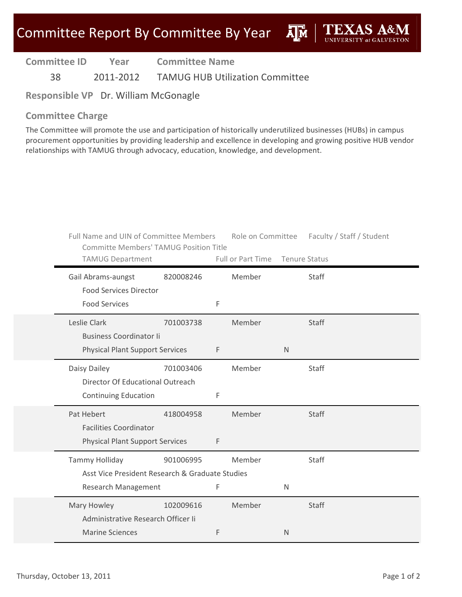**A**<sub>M</sub>

| <b>Committee ID</b> | Year | <b>Committee Name</b> |  |
|---------------------|------|-----------------------|--|
|                     |      |                       |  |

38 2011‐2012 TAMUG HUB Utilization Committee

**Responsible VP** Dr. William McGonagle

#### **Committee Charge**

The Committee will promote the use and participation of historically underutilized businesses (HUBs) in campus procurement opportunities by providing leadership and excellence in developing and growing positive HUB vendor relationships with TAMUG through advocacy, education, knowledge, and development.

| Full Name and UIN of Committee Members<br><b>Committe Members' TAMUG Position Title</b> |           |   |                                 |              | Role on Committee Faculty / Staff / Student |
|-----------------------------------------------------------------------------------------|-----------|---|---------------------------------|--------------|---------------------------------------------|
| <b>TAMUG Department</b>                                                                 |           |   | Full or Part Time Tenure Status |              |                                             |
| Gail Abrams-aungst<br><b>Food Services Director</b>                                     | 820008246 |   | Member                          |              | Staff                                       |
| <b>Food Services</b>                                                                    |           | F |                                 |              |                                             |
| Leslie Clark<br><b>Business Coordinator li</b>                                          | 701003738 |   | Member                          |              | <b>Staff</b>                                |
| <b>Physical Plant Support Services</b>                                                  |           | F |                                 | $\mathsf{N}$ |                                             |
| Daisy Dailey<br>Director Of Educational Outreach                                        | 701003406 |   | Member                          |              | Staff                                       |
| <b>Continuing Education</b>                                                             |           | F |                                 |              |                                             |
| Pat Hebert<br><b>Facilities Coordinator</b>                                             | 418004958 |   | Member                          |              | <b>Staff</b>                                |
| <b>Physical Plant Support Services</b>                                                  |           | F |                                 |              |                                             |
| Tammy Holliday<br>Asst Vice President Research & Graduate Studies                       | 901006995 |   | Member                          |              | Staff                                       |
| <b>Research Management</b>                                                              |           | F |                                 | $\mathsf{N}$ |                                             |
| Mary Howley<br>Administrative Research Officer Ii                                       | 102009616 |   | Member                          |              | Staff                                       |
| <b>Marine Sciences</b>                                                                  |           | F |                                 | $\mathsf{N}$ |                                             |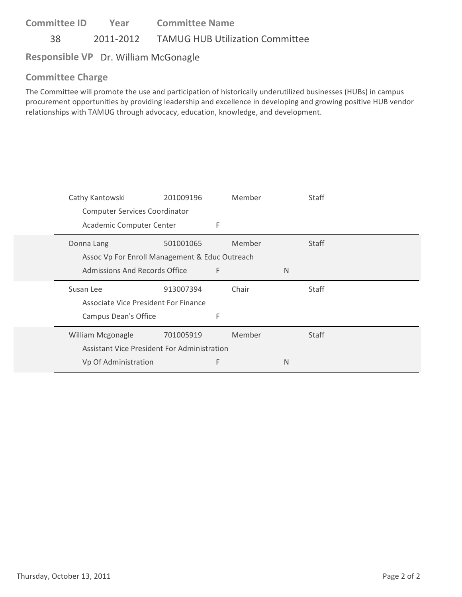**Committee ID** 38 2011‐2012 TAMUG HUB Utilization Committee **Year Committee Name**

### **Responsible VP** Dr. William McGonagle

### **Committee Charge**

The Committee will promote the use and participation of historically underutilized businesses (HUBs) in campus procurement opportunities by providing leadership and excellence in developing and growing positive HUB vendor relationships with TAMUG through advocacy, education, knowledge, and development.

| Cathy Kantowski                                | 201009196 |   | Member |   | <b>Staff</b> |
|------------------------------------------------|-----------|---|--------|---|--------------|
| <b>Computer Services Coordinator</b>           |           |   |        |   |              |
| Academic Computer Center                       |           | F |        |   |              |
| Donna Lang                                     | 501001065 |   | Member |   | <b>Staff</b> |
| Assoc Vp For Enroll Management & Educ Outreach |           |   |        |   |              |
| Admissions And Records Office                  |           | F |        | N |              |
|                                                |           |   |        |   |              |
| Susan Lee                                      | 913007394 |   | Chair  |   | Staff        |
| Associate Vice President For Finance           |           |   |        |   |              |
| <b>Campus Dean's Office</b>                    |           | F |        |   |              |
| William Mcgonagle                              | 701005919 |   | Member |   | Staff        |
| Assistant Vice President For Administration    |           |   |        |   |              |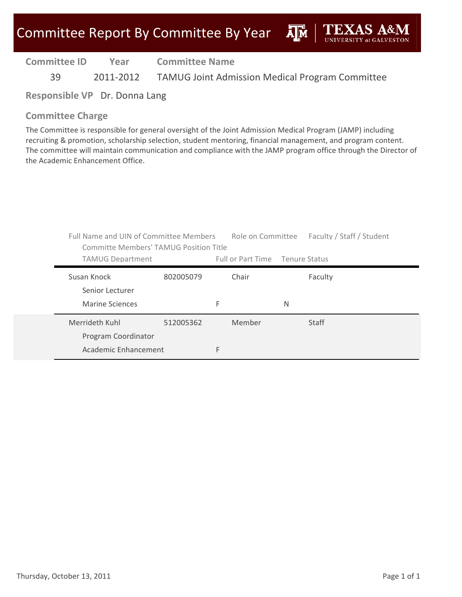**A**M

**Committee ID** 39 2011‐2012 TAMUG Joint Admission Medical Program Committee **Year Committee Name**

**Responsible VP** Dr. Donna Lang

### **Committee Charge**

The Committee is responsible for general oversight of the Joint Admission Medical Program (JAMP) including recruiting & promotion, scholarship selection, student mentoring, financial management, and program content. The committee will maintain communication and compliance with the JAMP program office through the Director of the Academic Enhancement Office.

| Full Name and UIN of Committee Members<br>Committe Members' TAMUG Position Title |           |   |                                 |   | Role on Committee Faculty / Staff / Student |
|----------------------------------------------------------------------------------|-----------|---|---------------------------------|---|---------------------------------------------|
| <b>TAMUG Department</b>                                                          |           |   | Full or Part Time Tenure Status |   |                                             |
| Susan Knock<br>Senior Lecturer                                                   | 802005079 |   | Chair                           |   | Faculty                                     |
| Marine Sciences                                                                  |           | F |                                 | N |                                             |
| Merrideth Kuhl<br>Program Coordinator                                            | 512005362 |   | Member                          |   | Staff                                       |
| Academic Enhancement                                                             |           | F |                                 |   |                                             |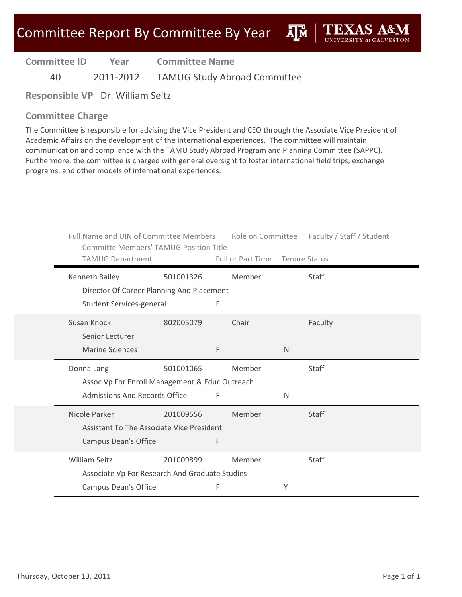ĀĪМ

**Committee ID Year Committee Name**

40 2011‐2012 TAMUG Study Abroad Committee

**Responsible VP** Dr. William Seitz

#### **Committee Charge**

The Committee is responsible for advising the Vice President and CEO through the Associate Vice President of Academic Affairs on the development of the international experiences. The committee will maintain communication and compliance with the TAMU Study Abroad Program and Planning Committee (SAPPC). Furthermore, the committee is charged with general oversight to foster international field trips, exchange programs, and other models of international experiences.

| Full Name and UIN of Committee Members<br><b>Committe Members' TAMUG Position Title</b> |           |   | Role on Committee Faculty / Staff / Student |              |              |
|-----------------------------------------------------------------------------------------|-----------|---|---------------------------------------------|--------------|--------------|
| <b>TAMUG Department</b>                                                                 |           |   | Full or Part Time Tenure Status             |              |              |
| Kenneth Bailey                                                                          | 501001326 |   | Member                                      |              | Staff        |
| Director Of Career Planning And Placement                                               |           |   |                                             |              |              |
| Student Services-general                                                                |           | F |                                             |              |              |
| Susan Knock                                                                             | 802005079 |   | Chair                                       |              | Faculty      |
| Senior Lecturer                                                                         |           |   |                                             |              |              |
| <b>Marine Sciences</b>                                                                  |           | F |                                             | $\mathsf{N}$ |              |
| Donna Lang                                                                              | 501001065 |   | Member                                      |              | Staff        |
| Assoc Vp For Enroll Management & Educ Outreach                                          |           |   |                                             |              |              |
| <b>Admissions And Records Office</b>                                                    |           | F |                                             | N            |              |
| Nicole Parker                                                                           | 201009556 |   | Member                                      |              | <b>Staff</b> |
| Assistant To The Associate Vice President                                               |           |   |                                             |              |              |
| Campus Dean's Office                                                                    |           | F |                                             |              |              |
| <b>William Seitz</b>                                                                    | 201009899 |   | Member                                      |              | Staff        |
| Associate Vp For Research And Graduate Studies                                          |           |   |                                             |              |              |
| Campus Dean's Office                                                                    |           | F |                                             | Υ            |              |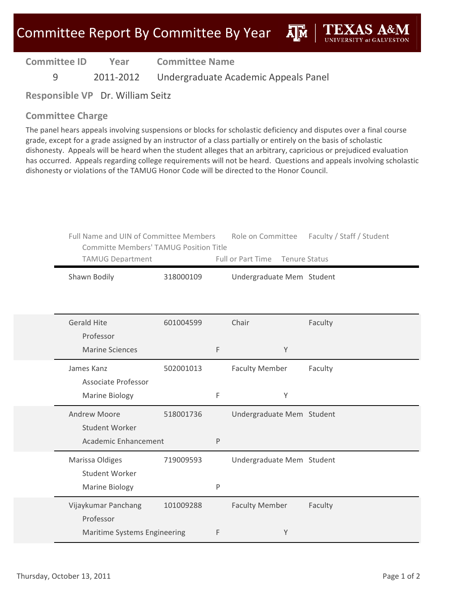**A**M

**Committee ID Year Committee Name**

9 2011‐2012 Undergraduate Academic Appeals Panel

**Responsible VP** Dr. William Seitz

### **Committee Charge**

The panel hears appeals involving suspensions or blocks for scholastic deficiency and disputes over a final course grade, except for a grade assigned by an instructor of a class partially or entirely on the basis of scholastic dishonesty. Appeals will be heard when the student alleges that an arbitrary, capricious or prejudiced evaluation has occurred. Appeals regarding college requirements will not be heard. Questions and appeals involving scholastic dishonesty or violations of the TAMUG Honor Code will be directed to the Honor Council.

| Full Name and UIN of Committee Members<br><b>Committe Members' TAMUG Position Title</b><br><b>TAMUG Department</b> |           |   | Role on Committee<br><b>Full or Part Time</b> | Faculty / Staff / Student<br><b>Tenure Status</b> |
|--------------------------------------------------------------------------------------------------------------------|-----------|---|-----------------------------------------------|---------------------------------------------------|
| Shawn Bodily                                                                                                       | 318000109 |   | Undergraduate Mem Student                     |                                                   |
| <b>Gerald Hite</b><br>Professor<br><b>Marine Sciences</b>                                                          | 601004599 | F | Chair<br>Y                                    | Faculty                                           |
| James Kanz<br><b>Associate Professor</b><br><b>Marine Biology</b>                                                  | 502001013 | F | <b>Faculty Member</b><br>Y                    | Faculty                                           |
| <b>Andrew Moore</b><br><b>Student Worker</b><br>Academic Enhancement                                               | 518001736 | P | Undergraduate Mem Student                     |                                                   |
| Marissa Oldiges<br>Student Worker<br>Marine Biology                                                                | 719009593 | P | Undergraduate Mem Student                     |                                                   |
| Vijaykumar Panchang<br>Professor<br>Maritime Systems Engineering                                                   | 101009288 | F | <b>Faculty Member</b><br>Y                    | Faculty                                           |